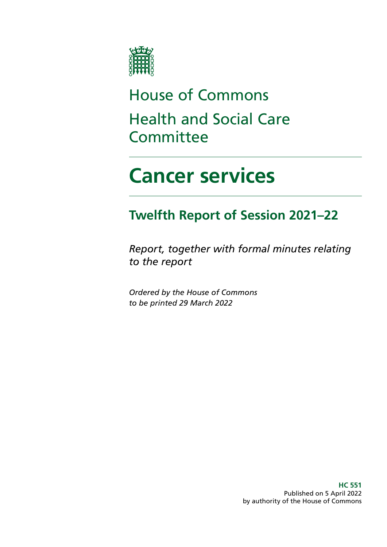

## House of Commons Health and Social Care **Committee**

# **Cancer services**

## **Twelfth Report of Session 2021–22**

*Report, together with formal minutes relating to the report*

*Ordered by the House of Commons to be printed 29 March 2022*

> **HC 551** Published on 5 April 2022 by authority of the House of Commons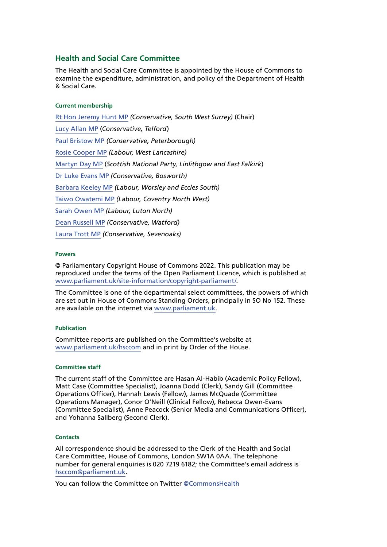#### **Health and Social Care Committee**

The Health and Social Care Committee is appointed by the House of Commons to examine the expenditure, administration, and policy of the Department of Health & Social Care.

#### **Current membership**

[Rt Hon Jeremy Hunt MP](https://members.parliament.uk/member/1572/contact) *(Conservative, South West Surrey)* (Chair) [Lucy Allan MP](https://members.parliament.uk/member/4411/contact) (*Conservative, Telford*) [Paul Bristow MP](https://members.parliament.uk/member/4792/contact) *(Conservative, Peterborough)* [Rosie Cooper MP](https://members.parliament.uk/member/1538/contact) *(Labour, West Lancashire)* [Martyn Day MP](https://members.parliament.uk/member/4488/contact) (*Scottish National Party, Linlithgow and East Falkirk*) [Dr Luke Evans MP](https://members.parliament.uk/member/4781/contact) *(Conservative, Bosworth)* [Barbara Keeley MP](https://members.parliament.uk/member/1588/contact) *(Labour, Worsley and Eccles South)* [Taiwo Owatemi MP](https://members.parliament.uk/member/4779/contact) *(Labour, Coventry North West)* [Sarah Owen MP](https://members.parliament.uk/member/4777/contact) *(Labour, Luton North)* [Dean Russell MP](https://members.parliament.uk/member/4812/contact) *(Conservative, Watford)* [Laura Trott MP](https://members.parliament.uk/member/4780/contact) *(Conservative, Sevenoaks)*

#### **Powers**

© Parliamentary Copyright House of Commons 2022. This publication may be reproduced under the terms of the Open Parliament Licence, which is published at [www.parliament.uk/site-information/copyright-parliament/](https://www.parliament.uk/site-information/copyright-parliament/).

The Committee is one of the departmental select committees, the powers of which are set out in House of Commons Standing Orders, principally in SO No 152. These are available on the internet via [www.parliament.uk.](http://www.parliament.uk/)

#### **Publication**

Committee reports are published on the Committee's website at [www.parliament.uk/hsccom](http://www.parliament.uk/hsccom) and in print by Order of the House.

#### **Committee staff**

The current staff of the Committee are Hasan Al-Habib (Academic Policy Fellow), Matt Case (Committee Specialist), Joanna Dodd (Clerk), Sandy Gill (Committee Operations Officer), Hannah Lewis (Fellow), James McQuade (Committee Operations Manager), Conor O'Neill (Clinical Fellow), Rebecca Owen-Evans (Committee Specialist), Anne Peacock (Senior Media and Communications Officer), and Yohanna Sallberg (Second Clerk).

#### **Contacts**

All correspondence should be addressed to the Clerk of the Health and Social Care Committee, House of Commons, London SW1A 0AA. The telephone number for general enquiries is 020 7219 6182; the Committee's email address is [hsccom@parliament.uk](mailto:hsccom%40parliament.uk?subject=).

You can follow the Committee on Twitter [@CommonsHealth](https://twitter.com/CommonsHealth)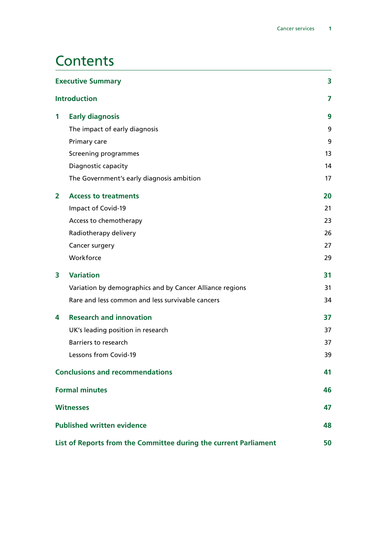### **Contents**

| <b>Executive Summary</b><br><b>Introduction</b>                  |                                                          | 3  |
|------------------------------------------------------------------|----------------------------------------------------------|----|
|                                                                  |                                                          | 7  |
| 1                                                                | <b>Early diagnosis</b>                                   | 9  |
|                                                                  | The impact of early diagnosis                            | 9  |
|                                                                  | Primary care                                             | 9  |
|                                                                  | Screening programmes                                     | 13 |
|                                                                  | Diagnostic capacity                                      | 14 |
|                                                                  | The Government's early diagnosis ambition                | 17 |
| 2                                                                | <b>Access to treatments</b>                              | 20 |
|                                                                  | Impact of Covid-19                                       | 21 |
|                                                                  | Access to chemotherapy                                   | 23 |
|                                                                  | Radiotherapy delivery                                    | 26 |
|                                                                  | Cancer surgery                                           | 27 |
|                                                                  | Workforce                                                | 29 |
| 3                                                                | <b>Variation</b>                                         | 31 |
|                                                                  | Variation by demographics and by Cancer Alliance regions | 31 |
|                                                                  | Rare and less common and less survivable cancers         | 34 |
| 4                                                                | <b>Research and innovation</b>                           | 37 |
|                                                                  | UK's leading position in research                        | 37 |
|                                                                  | <b>Barriers to research</b>                              | 37 |
|                                                                  | Lessons from Covid-19                                    | 39 |
| <b>Conclusions and recommendations</b>                           |                                                          | 41 |
|                                                                  | <b>Formal minutes</b>                                    | 46 |
| <b>Witnesses</b>                                                 |                                                          | 47 |
| <b>Published written evidence</b>                                |                                                          | 48 |
| List of Reports from the Committee during the current Parliament |                                                          | 50 |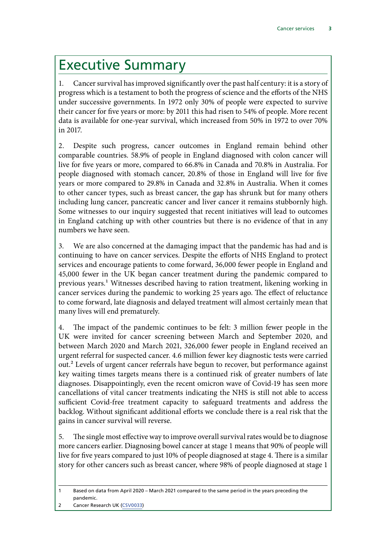## <span id="page-4-0"></span>Executive Summary

1. Cancer survival has improved significantly over the past half century: it is a story of progress which is a testament to both the progress of science and the efforts of the NHS under successive governments. In 1972 only 30% of people were expected to survive their cancer for five years or more: by 2011 this had risen to 54% of people. More recent data is available for one-year survival, which increased from 50% in 1972 to over 70% in 2017.

2. Despite such progress, cancer outcomes in England remain behind other comparable countries. 58.9% of people in England diagnosed with colon cancer will live for five years or more, compared to 66.8% in Canada and 70.8% in Australia. For people diagnosed with stomach cancer, 20.8% of those in England will live for five years or more compared to 29.8% in Canada and 32.8% in Australia. When it comes to other cancer types, such as breast cancer, the gap has shrunk but for many others including lung cancer, pancreatic cancer and liver cancer it remains stubbornly high. Some witnesses to our inquiry suggested that recent initiatives will lead to outcomes in England catching up with other countries but there is no evidence of that in any numbers we have seen.

3. We are also concerned at the damaging impact that the pandemic has had and is continuing to have on cancer services. Despite the efforts of NHS England to protect services and encourage patients to come forward, 36,000 fewer people in England and 45,000 fewer in the UK began cancer treatment during the pandemic compared to previous years.1 Witnesses described having to ration treatment, likening working in cancer services during the pandemic to working 25 years ago. The effect of reluctance to come forward, late diagnosis and delayed treatment will almost certainly mean that many lives will end prematurely.

4. The impact of the pandemic continues to be felt: 3 million fewer people in the UK were invited for cancer screening between March and September 2020, and between March 2020 and March 2021, 326,000 fewer people in England received an urgent referral for suspected cancer. 4.6 million fewer key diagnostic tests were carried out.2 Levels of urgent cancer referrals have begun to recover, but performance against key waiting times targets means there is a continued risk of greater numbers of late diagnoses. Disappointingly, even the recent omicron wave of Covid-19 has seen more cancellations of vital cancer treatments indicating the NHS is still not able to access sufficient Covid-free treatment capacity to safeguard treatments and address the backlog. Without significant additional efforts we conclude there is a real risk that the gains in cancer survival will reverse.

5. The single most effective way to improve overall survival rates would be to diagnose more cancers earlier. Diagnosing bowel cancer at stage 1 means that 90% of people will live for five years compared to just 10% of people diagnosed at stage 4. There is a similar story for other cancers such as breast cancer, where 98% of people diagnosed at stage 1

<sup>1</sup> Based on data from April 2020 – March 2021 compared to the same period in the years preceding the pandemic.

<sup>2</sup> Cancer Research UK [\(CSV0033\)](https://committees.parliament.uk/writtenevidence/38590/html/)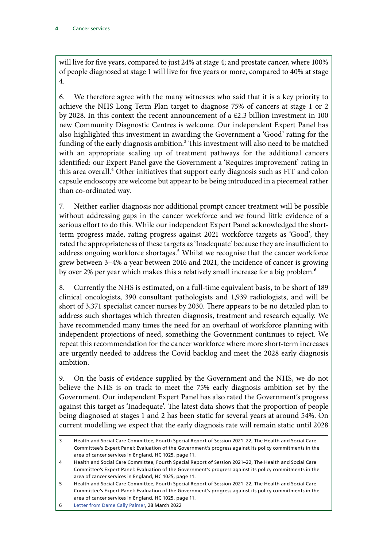will live for five years, compared to just 24% at stage 4; and prostate cancer, where 100% of people diagnosed at stage 1 will live for five years or more, compared to 40% at stage 4.

6. We therefore agree with the many witnesses who said that it is a key priority to achieve the NHS Long Term Plan target to diagnose 75% of cancers at stage 1 or 2 by 2028. In this context the recent announcement of a £2.3 billion investment in 100 new Community Diagnostic Centres is welcome. Our independent Expert Panel has also highlighted this investment in awarding the Government a 'Good' rating for the funding of the early diagnosis ambition.<sup>3</sup> This investment will also need to be matched with an appropriate scaling up of treatment pathways for the additional cancers identified: our Expert Panel gave the Government a 'Requires improvement' rating in this area overall.<sup>4</sup> Other initiatives that support early diagnosis such as FIT and colon capsule endoscopy are welcome but appear to be being introduced in a piecemeal rather than co-ordinated way.

7. Neither earlier diagnosis nor additional prompt cancer treatment will be possible without addressing gaps in the cancer workforce and we found little evidence of a serious effort to do this. While our independent Expert Panel acknowledged the shortterm progress made, rating progress against 2021 workforce targets as 'Good', they rated the appropriateness of these targets as 'Inadequate' because they are insufficient to address ongoing workforce shortages.<sup>5</sup> Whilst we recognise that the cancer workforce grew between 3–4% a year between 2016 and 2021, the incidence of cancer is growing by over 2% per year which makes this a relatively small increase for a big problem.<sup>6</sup>

8. Currently the NHS is estimated, on a full-time equivalent basis, to be short of 189 clinical oncologists, 390 consultant pathologists and 1,939 radiologists, and will be short of 3,371 specialist cancer nurses by 2030. There appears to be no detailed plan to address such shortages which threaten diagnosis, treatment and research equally. We have recommended many times the need for an overhaul of workforce planning with independent projections of need, something the Government continues to reject. We repeat this recommendation for the cancer workforce where more short-term increases are urgently needed to address the Covid backlog and meet the 2028 early diagnosis ambition.

9. On the basis of evidence supplied by the Government and the NHS, we do not believe the NHS is on track to meet the 75% early diagnosis ambition set by the Government. Our independent Expert Panel has also rated the Government's progress against this target as 'Inadequate'. The latest data shows that the proportion of people being diagnosed at stages 1 and 2 has been static for several years at around 54%. On current modelling we expect that the early diagnosis rate will remain static until 2028

<sup>3</sup> Health and Social Care Committee, Fourth Special Report of Session 2021–22, The Health and Social Care Committee's Expert Panel: Evaluation of the Government's progress against its policy commitments in the area of cancer services in England, HC 1025, page 11.

<sup>4</sup> Health and Social Care Committee, Fourth Special Report of Session 2021–22, The Health and Social Care Committee's Expert Panel: Evaluation of the Government's progress against its policy commitments in the area of cancer services in England, HC 1025, page 11.

<sup>5</sup> Health and Social Care Committee, Fourth Special Report of Session 2021–22, The Health and Social Care Committee's Expert Panel: Evaluation of the Government's progress against its policy commitments in the area of cancer services in England, HC 1025, page 11.

<sup>6</sup> [Letter from Dame Cally Palmer](https://committees.parliament.uk/publications/9505/documents/161681/default/), 28 March 2022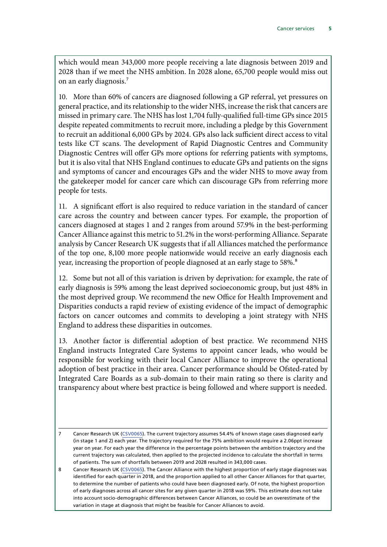which would mean 343,000 more people receiving a late diagnosis between 2019 and 2028 than if we meet the NHS ambition. In 2028 alone, 65,700 people would miss out on an early diagnosis.7

10. More than 60% of cancers are diagnosed following a GP referral, yet pressures on general practice, and its relationship to the wider NHS, increase the risk that cancers are missed in primary care. The NHS has lost 1,704 fully-qualified full-time GPs since 2015 despite repeated commitments to recruit more, including a pledge by this Government to recruit an additional 6,000 GPs by 2024. GPs also lack sufficient direct access to vital tests like CT scans. The development of Rapid Diagnostic Centres and Community Diagnostic Centres will offer GPs more options for referring patients with symptoms, but it is also vital that NHS England continues to educate GPs and patients on the signs and symptoms of cancer and encourages GPs and the wider NHS to move away from the gatekeeper model for cancer care which can discourage GPs from referring more people for tests.

11. A significant effort is also required to reduce variation in the standard of cancer care across the country and between cancer types. For example, the proportion of cancers diagnosed at stages 1 and 2 ranges from around 57.9% in the best-performing Cancer Alliance against this metric to 51.2% in the worst-performing Alliance. Separate analysis by Cancer Research UK suggests that if all Alliances matched the performance of the top one, 8,100 more people nationwide would receive an early diagnosis each year, increasing the proportion of people diagnosed at an early stage to 58%.<sup>8</sup>

12. Some but not all of this variation is driven by deprivation: for example, the rate of early diagnosis is 59% among the least deprived socioeconomic group, but just 48% in the most deprived group. We recommend the new Office for Health Improvement and Disparities conducts a rapid review of existing evidence of the impact of demographic factors on cancer outcomes and commits to developing a joint strategy with NHS England to address these disparities in outcomes.

13. Another factor is differential adoption of best practice. We recommend NHS England instructs Integrated Care Systems to appoint cancer leads, who would be responsible for working with their local Cancer Alliance to improve the operational adoption of best practice in their area. Cancer performance should be Ofsted-rated by Integrated Care Boards as a sub-domain to their main rating so there is clarity and transparency about where best practice is being followed and where support is needed.

<sup>7</sup> Cancer Research UK [\(CSV0065](https://committees.parliament.uk/writtenevidence/106932/html/)). The current trajectory assumes 54.4% of known stage cases diagnosed early (in stage 1 and 2) each year. The trajectory required for the 75% ambition would require a 2.06ppt increase year on year. For each year the difference in the percentage points between the ambition trajectory and the current trajectory was calculated, then applied to the projected incidence to calculate the shortfall in terms of patients. The sum of shortfalls between 2019 and 2028 resulted in 343,000 cases.

<sup>8</sup> Cancer Research UK [\(CSV0065](https://committees.parliament.uk/writtenevidence/106932/html/)). The Cancer Alliance with the highest proportion of early stage diagnoses was identified for each quarter in 2018, and the proportion applied to all other Cancer Alliances for that quarter, to determine the number of patients who could have been diagnosed early. Of note, the highest proportion of early diagnoses across all cancer sites for any given quarter in 2018 was 59%. This estimate does not take into account socio-demographic differences between Cancer Alliances, so could be an overestimate of the variation in stage at diagnosis that might be feasible for Cancer Alliances to avoid.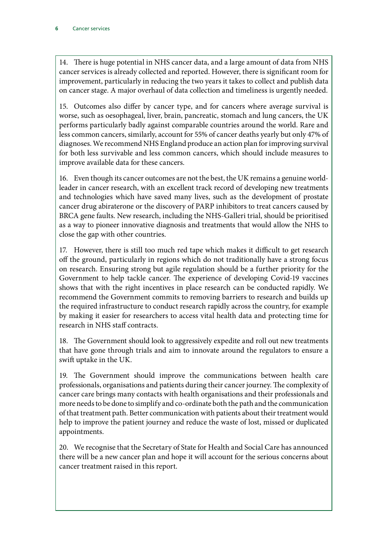14. There is huge potential in NHS cancer data, and a large amount of data from NHS cancer services is already collected and reported. However, there is significant room for improvement, particularly in reducing the two years it takes to collect and publish data on cancer stage. A major overhaul of data collection and timeliness is urgently needed.

15. Outcomes also differ by cancer type, and for cancers where average survival is worse, such as oesophageal, liver, brain, pancreatic, stomach and lung cancers, the UK performs particularly badly against comparable countries around the world. Rare and less common cancers, similarly, account for 55% of cancer deaths yearly but only 47% of diagnoses. We recommend NHS England produce an action plan for improving survival for both less survivable and less common cancers, which should include measures to improve available data for these cancers.

16. Even though its cancer outcomes are not the best, the UK remains a genuine worldleader in cancer research, with an excellent track record of developing new treatments and technologies which have saved many lives, such as the development of prostate cancer drug abiraterone or the discovery of PARP inhibitors to treat cancers caused by BRCA gene faults. New research, including the NHS-Galleri trial, should be prioritised as a way to pioneer innovative diagnosis and treatments that would allow the NHS to close the gap with other countries.

17. However, there is still too much red tape which makes it difficult to get research off the ground, particularly in regions which do not traditionally have a strong focus on research. Ensuring strong but agile regulation should be a further priority for the Government to help tackle cancer. The experience of developing Covid-19 vaccines shows that with the right incentives in place research can be conducted rapidly. We recommend the Government commits to removing barriers to research and builds up the required infrastructure to conduct research rapidly across the country, for example by making it easier for researchers to access vital health data and protecting time for research in NHS staff contracts.

18. The Government should look to aggressively expedite and roll out new treatments that have gone through trials and aim to innovate around the regulators to ensure a swift uptake in the UK.

19. The Government should improve the communications between health care professionals, organisations and patients during their cancer journey. The complexity of cancer care brings many contacts with health organisations and their professionals and more needs to be done to simplify and co-ordinate both the path and the communication of that treatment path. Better communication with patients about their treatment would help to improve the patient journey and reduce the waste of lost, missed or duplicated appointments.

20. We recognise that the Secretary of State for Health and Social Care has announced there will be a new cancer plan and hope it will account for the serious concerns about cancer treatment raised in this report.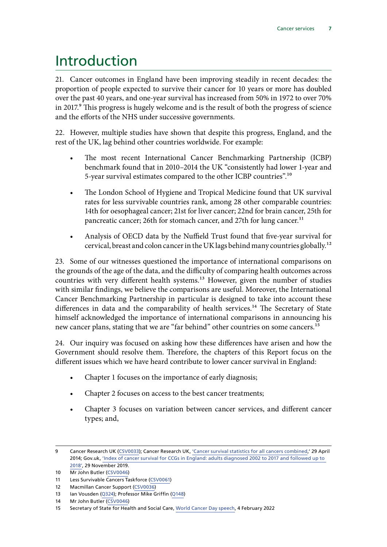### <span id="page-8-0"></span>Introduction

21. Cancer outcomes in England have been improving steadily in recent decades: the proportion of people expected to survive their cancer for 10 years or more has doubled over the past 40 years, and one-year survival has increased from 50% in 1972 to over 70% in 2017.<sup>9</sup> This progress is hugely welcome and is the result of both the progress of science and the efforts of the NHS under successive governments.

22. However, multiple studies have shown that despite this progress, England, and the rest of the UK, lag behind other countries worldwide. For example:

- The most recent International Cancer Benchmarking Partnership (ICBP) benchmark found that in 2010–2014 the UK "consistently had lower 1-year and 5-year survival estimates compared to the other ICBP countries".10
- The London School of Hygiene and Tropical Medicine found that UK survival rates for less survivable countries rank, among 28 other comparable countries: 14th for oesophageal cancer; 21st for liver cancer; 22nd for brain cancer, 25th for pancreatic cancer; 26th for stomach cancer, and 27th for lung cancer.<sup>11</sup>
- Analysis of OECD data by the Nuffield Trust found that five-year survival for cervical, breast and colon cancer in the UK lags behind many countries globally.12

23. Some of our witnesses questioned the importance of international comparisons on the grounds of the age of the data, and the difficulty of comparing health outcomes across countries with very different health systems.<sup>13</sup> However, given the number of studies with similar findings, we believe the comparisons are useful. Moreover, the International Cancer Benchmarking Partnership in particular is designed to take into account these differences in data and the comparability of health services.<sup>14</sup> The Secretary of State himself acknowledged the importance of international comparisons in announcing his new cancer plans, stating that we are "far behind" other countries on some cancers.<sup>15</sup>

24. Our inquiry was focused on asking how these differences have arisen and how the Government should resolve them. Therefore, the chapters of this Report focus on the different issues which we have heard contribute to lower cancer survival in England:

- Chapter 1 focuses on the importance of early diagnosis;
- Chapter 2 focuses on access to the best cancer treatments;
- Chapter 3 focuses on variation between cancer services, and different cancer types; and,

<sup>9</sup> Cancer Research UK [\(CSV0033\)](https://committees.parliament.uk/writtenevidence/38590/html/); Cancer Research UK, 'Cancer survival statistics for all cancers combined,' 29 April 2014; Gov.uk, ['Index of cancer survival for CCGs in England: adults diagnosed 2002 to 2017 and followed up to](https://www.gov.uk/government/statistics/cancer-survival-index-for-clinical-commissioning-groups/index-of-cancer-survival-for-clinical-commissioning-groups-in-england-adults-diagnosed-2002-to-2017-and-followed-up-to-2018)  [2018'](https://www.gov.uk/government/statistics/cancer-survival-index-for-clinical-commissioning-groups/index-of-cancer-survival-for-clinical-commissioning-groups-in-england-adults-diagnosed-2002-to-2017-and-followed-up-to-2018), 29 November 2019.

<sup>10</sup> Mr John Butler [\(CSV0046\)](https://committees.parliament.uk/writtenevidence/38715/html/)

<sup>11</sup> Less Survivable Cancers Taskforce [\(CSV0061\)](https://committees.parliament.uk/writtenevidence/41124/html/)

<sup>12</sup> Macmillan Cancer Support ([CSV0036\)](https://committees.parliament.uk/writtenevidence/38622/html/)

<sup>13</sup> Ian Vousden [\(Q324\)](https://committees.parliament.uk/oralevidence/2982/html/); Professor Mike Griffin [\(Q148\)](https://committees.parliament.uk/oralevidence/2886/html/)

<sup>14</sup> Mr John Butler [\(CSV0046\)](https://committees.parliament.uk/writtenevidence/38715/html/)

<sup>15</sup> Secretary of State for Health and Social Care, [World Cancer Day speech](https://www.gov.uk/government/speeches/health-and-social-care-secretary-savid-javid-world-cancer-day-speech), 4 February 2022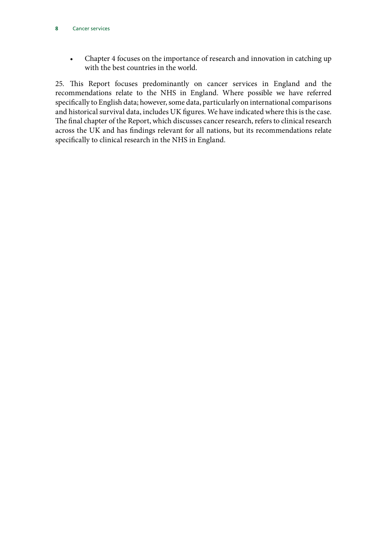• Chapter 4 focuses on the importance of research and innovation in catching up with the best countries in the world.

25. This Report focuses predominantly on cancer services in England and the recommendations relate to the NHS in England. Where possible we have referred specifically to English data; however, some data, particularly on international comparisons and historical survival data, includes UK figures. We have indicated where this is the case. The final chapter of the Report, which discusses cancer research, refers to clinical research across the UK and has findings relevant for all nations, but its recommendations relate specifically to clinical research in the NHS in England.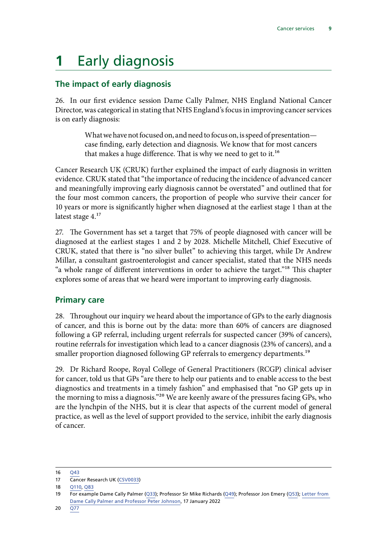## <span id="page-10-0"></span>**1** Early diagnosis

### **The impact of early diagnosis**

26. In our first evidence session Dame Cally Palmer, NHS England National Cancer Director, was categorical in stating that NHS England's focus in improving cancer services is on early diagnosis:

> What we have not focused on, and need to focus on, is speed of presentation case finding, early detection and diagnosis. We know that for most cancers that makes a huge difference. That is why we need to get to it.<sup>16</sup>

Cancer Research UK (CRUK) further explained the impact of early diagnosis in written evidence. CRUK stated that "the importance of reducing the incidence of advanced cancer and meaningfully improving early diagnosis cannot be overstated" and outlined that for the four most common cancers, the proportion of people who survive their cancer for 10 years or more is significantly higher when diagnosed at the earliest stage 1 than at the latest stage 4.<sup>17</sup>

27. The Government has set a target that 75% of people diagnosed with cancer will be diagnosed at the earliest stages 1 and 2 by 2028. Michelle Mitchell, Chief Executive of CRUK, stated that there is "no silver bullet" to achieving this target, while Dr Andrew Millar, a consultant gastroenterologist and cancer specialist, stated that the NHS needs "a whole range of different interventions in order to achieve the target."18 This chapter explores some of areas that we heard were important to improving early diagnosis.

### **Primary care**

28. Throughout our inquiry we heard about the importance of GPs to the early diagnosis of cancer, and this is borne out by the data: more than 60% of cancers are diagnosed following a GP referral, including urgent referrals for suspected cancer (39% of cancers), routine referrals for investigation which lead to a cancer diagnosis (23% of cancers), and a smaller proportion diagnosed following GP referrals to emergency departments.<sup>19</sup>

29. Dr Richard Roope, Royal College of General Practitioners (RCGP) clinical adviser for cancer, told us that GPs "are there to help our patients and to enable access to the best diagnostics and treatments in a timely fashion" and emphasised that "no GP gets up in the morning to miss a diagnosis."20 We are keenly aware of the pressures facing GPs, who are the lynchpin of the NHS, but it is clear that aspects of the current model of general practice, as well as the level of support provided to the service, inhibit the early diagnosis of cancer.

<sup>16</sup> [Q43](https://committees.parliament.uk/oralevidence/2570/html/)

<sup>17</sup> Cancer Research UK [\(CSV0033\)](https://committees.parliament.uk/writtenevidence/38590/html/)

<sup>18</sup> [Q110](https://committees.parliament.uk/oralevidence/2855/html/), [Q83](https://committees.parliament.uk/oralevidence/2855/html/)

<sup>19</sup> For example Dame Cally Palmer ([Q33\)](https://committees.parliament.uk/oralevidence/2570/html/); Professor Sir Mike Richards ([Q49](https://committees.parliament.uk/oralevidence/2570/html/)); Professor Jon Emery ([Q53\)](https://committees.parliament.uk/oralevidence/2570/html/); [Letter from](https://committees.parliament.uk/publications/8625/documents/87333/default/)  [Dame Cally Palmer and Professor Peter Johnson,](https://committees.parliament.uk/publications/8625/documents/87333/default/) 17 January 2022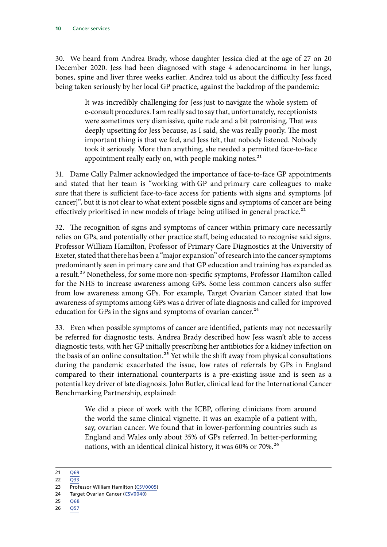30. We heard from Andrea Brady, whose daughter Jessica died at the age of 27 on 20 December 2020. Jess had been diagnosed with stage 4 adenocarcinoma in her lungs, bones, spine and liver three weeks earlier. Andrea told us about the difficulty Jess faced being taken seriously by her local GP practice, against the backdrop of the pandemic:

> It was incredibly challenging for Jess just to navigate the whole system of e-consult procedures. I am really sad to say that, unfortunately, receptionists were sometimes very dismissive, quite rude and a bit patronising. That was deeply upsetting for Jess because, as I said, she was really poorly. The most important thing is that we feel, and Jess felt, that nobody listened. Nobody took it seriously. More than anything, she needed a permitted face-to-face appointment really early on, with people making notes. $21$

31. Dame Cally Palmer acknowledged the importance of face-to-face GP appointments and stated that her team is "working with GP and primary care colleagues to make sure that there is sufficient face-to-face access for patients with signs and symptoms [of cancer]", but it is not clear to what extent possible signs and symptoms of cancer are being effectively prioritised in new models of triage being utilised in general practice.<sup>22</sup>

32. The recognition of signs and symptoms of cancer within primary care necessarily relies on GPs, and potentially other practice staff, being educated to recognise said signs. Professor William Hamilton, Professor of Primary Care Diagnostics at the University of Exeter, stated that there has been a "major expansion" of research into the cancer symptoms predominantly seen in primary care and that GP education and training has expanded as a result.<sup>23</sup> Nonetheless, for some more non-specific symptoms, Professor Hamilton called for the NHS to increase awareness among GPs. Some less common cancers also suffer from low awareness among GPs. For example, Target Ovarian Cancer stated that low awareness of symptoms among GPs was a driver of late diagnosis and called for improved education for GPs in the signs and symptoms of ovarian cancer. $^{24}$ 

33. Even when possible symptoms of cancer are identified, patients may not necessarily be referred for diagnostic tests. Andrea Brady described how Jess wasn't able to access diagnostic tests, with her GP initially prescribing her antibiotics for a kidney infection on the basis of an online consultation.<sup>25</sup> Yet while the shift away from physical consultations during the pandemic exacerbated the issue, low rates of referrals by GPs in England compared to their international counterparts is a pre-existing issue and is seen as a potential key driver of late diagnosis. John Butler, clinical lead for the International Cancer Benchmarking Partnership, explained:

> We did a piece of work with the ICBP, offering clinicians from around the world the same clinical vignette. It was an example of a patient with, say, ovarian cancer. We found that in lower-performing countries such as England and Wales only about 35% of GPs referred. In better-performing nations, with an identical clinical history, it was 60% or 70%.26

- 25 [Q68](https://committees.parliament.uk/oralevidence/2855/html/)
- $26 \overline{Q57}$  $26 \overline{Q57}$  $26 \overline{Q57}$

<sup>21</sup> [Q69](https://committees.parliament.uk/oralevidence/2855/html/)

<sup>23</sup> Professor William Hamilton ([CSV0005](https://committees.parliament.uk/writtenevidence/37987/html/))

<sup>24</sup> Target Ovarian Cancer ([CSV0040](https://committees.parliament.uk/writtenevidence/38661/html/))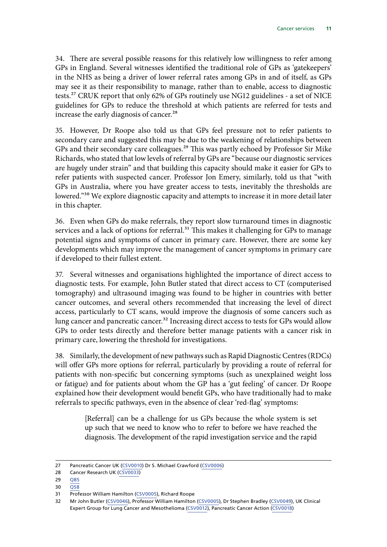34. There are several possible reasons for this relatively low willingness to refer among GPs in England. Several witnesses identified the traditional role of GPs as 'gatekeepers' in the NHS as being a driver of lower referral rates among GPs in and of itself, as GPs may see it as their responsibility to manage, rather than to enable, access to diagnostic tests.27 CRUK report that only 62% of GPs routinely use NG12 guidelines - a set of NICE guidelines for GPs to reduce the threshold at which patients are referred for tests and increase the early diagnosis of cancer.<sup>28</sup>

35. However, Dr Roope also told us that GPs feel pressure not to refer patients to secondary care and suggested this may be due to the weakening of relationships between GPs and their secondary care colleagues.<sup>29</sup> This was partly echoed by Professor Sir Mike Richards, who stated that low levels of referral by GPs are "because our diagnostic services are hugely under strain" and that building this capacity should make it easier for GPs to refer patients with suspected cancer. Professor Jon Emery, similarly, told us that "with GPs in Australia, where you have greater access to tests, inevitably the thresholds are lowered."30 We explore diagnostic capacity and attempts to increase it in more detail later in this chapter.

36. Even when GPs do make referrals, they report slow turnaround times in diagnostic services and a lack of options for referral.<sup>31</sup> This makes it challenging for GPs to manage potential signs and symptoms of cancer in primary care. However, there are some key developments which may improve the management of cancer symptoms in primary care if developed to their fullest extent.

37. Several witnesses and organisations highlighted the importance of direct access to diagnostic tests. For example, John Butler stated that direct access to CT (computerised tomography) and ultrasound imaging was found to be higher in countries with better cancer outcomes, and several others recommended that increasing the level of direct access, particularly to CT scans, would improve the diagnosis of some cancers such as lung cancer and pancreatic cancer.<sup>32</sup> Increasing direct access to tests for GPs would allow GPs to order tests directly and therefore better manage patients with a cancer risk in primary care, lowering the threshold for investigations.

38. Similarly, the development of new pathways such as Rapid Diagnostic Centres (RDCs) will offer GPs more options for referral, particularly by providing a route of referral for patients with non-specific but concerning symptoms (such as unexplained weight loss or fatigue) and for patients about whom the GP has a 'gut feeling' of cancer. Dr Roope explained how their development would benefit GPs, who have traditionally had to make referrals to specific pathways, even in the absence of clear 'red-flag' symptoms:

> [Referral] can be a challenge for us GPs because the whole system is set up such that we need to know who to refer to before we have reached the diagnosis. The development of the rapid investigation service and the rapid

<sup>27</sup> Pancreatic Cancer UK [\(CSV0010\)](https://committees.parliament.uk/writtenevidence/38481/html/) Dr S. Michael Crawford [\(CSV0006\)](https://committees.parliament.uk/writtenevidence/38080/html/)

<sup>28</sup> Cancer Research UK [\(CSV0033\)](https://committees.parliament.uk/writtenevidence/38590/html/)

<sup>29</sup> [Q85](https://committees.parliament.uk/oralevidence/2855/html/)

<sup>30</sup> [Q58](https://committees.parliament.uk/oralevidence/2570/html/)

<sup>31</sup> Professor William Hamilton ([CSV0005](https://committees.parliament.uk/writtenevidence/37987/html/)), Richard Roope

<sup>32</sup> Mr John Butler [\(CSV0046\)](https://committees.parliament.uk/writtenevidence/38715/html/), Professor William Hamilton [\(CSV0005\)](https://committees.parliament.uk/writtenevidence/37987/html/), Dr Stephen Bradley ([CSV0049](https://committees.parliament.uk/writtenevidence/38850/html/)), UK Clinical Expert Group for Lung Cancer and Mesothelioma [\(CSV0012\)](https://committees.parliament.uk/writtenevidence/38485/html/), Pancreatic Cancer Action ([CSV0018\)](https://committees.parliament.uk/writtenevidence/38529/html/)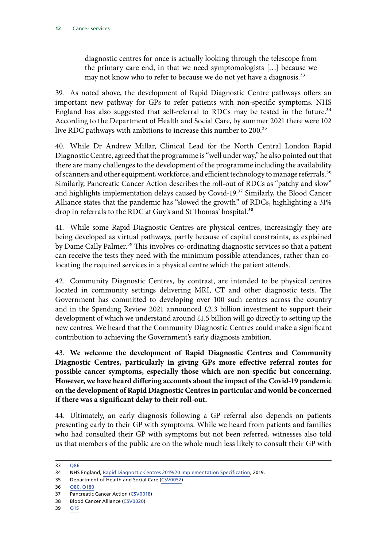diagnostic centres for once is actually looking through the telescope from the primary care end, in that we need symptomologists […] because we may not know who to refer to because we do not yet have a diagnosis.<sup>33</sup>

39. As noted above, the development of Rapid Diagnostic Centre pathways offers an important new pathway for GPs to refer patients with non-specific symptoms. NHS England has also suggested that self-referral to RDCs may be tested in the future.<sup>34</sup> According to the Department of Health and Social Care, by summer 2021 there were 102 live RDC pathways with ambitions to increase this number to 200.<sup>35</sup>

40. While Dr Andrew Millar, Clinical Lead for the North Central London Rapid Diagnostic Centre, agreed that the programme is "well under way," he also pointed out that there are many challenges to the development of the programme including the availability of scanners and other equipment, workforce, and efficient technology to manage referrals.<sup>36</sup> Similarly, Pancreatic Cancer Action describes the roll-out of RDCs as "patchy and slow" and highlights implementation delays caused by Covid-19.<sup>37</sup> Similarly, the Blood Cancer Alliance states that the pandemic has "slowed the growth" of RDCs, highlighting a 31% drop in referrals to the RDC at Guy's and St Thomas' hospital.<sup>38</sup>

41. While some Rapid Diagnostic Centres are physical centres, increasingly they are being developed as virtual pathways, partly because of capital constraints, as explained by Dame Cally Palmer.<sup>39</sup> This involves co-ordinating diagnostic services so that a patient can receive the tests they need with the minimum possible attendances, rather than colocating the required services in a physical centre which the patient attends.

42. Community Diagnostic Centres, by contrast, are intended to be physical centres located in community settings delivering MRI, CT and other diagnostic tests. The Government has committed to developing over 100 such centres across the country and in the Spending Review 2021 announced £2.3 billion investment to support their development of which we understand around £1.5 billion will go directly to setting up the new centres. We heard that the Community Diagnostic Centres could make a significant contribution to achieving the Government's early diagnosis ambition.

43. **We welcome the development of Rapid Diagnostic Centres and Community Diagnostic Centres, particularly in giving GPs more effective referral routes for possible cancer symptoms, especially those which are non-specific but concerning. However, we have heard differing accounts about the impact of the Covid-19 pandemic on the development of Rapid Diagnostic Centres in particular and would be concerned if there was a significant delay to their roll-out.**

44. Ultimately, an early diagnosis following a GP referral also depends on patients presenting early to their GP with symptoms. While we heard from patients and families who had consulted their GP with symptoms but not been referred, witnesses also told us that members of the public are on the whole much less likely to consult their GP with

<sup>33</sup> O86

<sup>34</sup> NHS England, [Rapid Diagnostic Centres 2019/20 Implementation Specification](https://www.england.nhs.uk/wp-content/uploads/2019/07/rdc-vision-and-1920-implementation-specification.pdf), 2019.

<sup>35</sup> Department of Health and Social Care [\(CSV0052](https://committees.parliament.uk/writtenevidence/39021/html/))

<sup>36</sup> [Q80, Q180](https://committees.parliament.uk/oralevidence/2855/html/)

<sup>37</sup> Pancreatic Cancer Action [\(CSV0018\)](https://committees.parliament.uk/writtenevidence/38529/html/)

<sup>38</sup> Blood Cancer Alliance [\(CSV0020](https://committees.parliament.uk/writtenevidence/38538/html/))

<sup>39</sup> [Q15](https://committees.parliament.uk/oralevidence/2570/html/)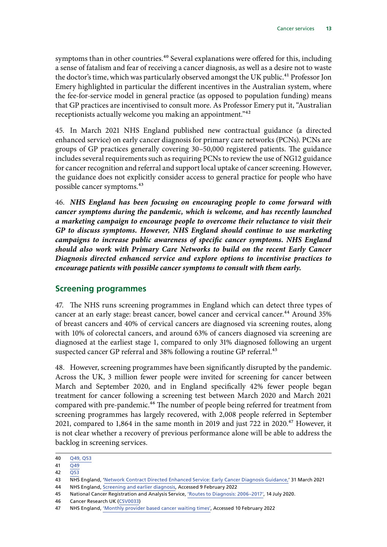<span id="page-14-0"></span>symptoms than in other countries.<sup>40</sup> Several explanations were offered for this, including a sense of fatalism and fear of receiving a cancer diagnosis, as well as a desire not to waste the doctor's time, which was particularly observed amongst the UK public.<sup>41</sup> Professor Jon Emery highlighted in particular the different incentives in the Australian system, where the fee-for-service model in general practice (as opposed to population funding) means that GP practices are incentivised to consult more. As Professor Emery put it, "Australian receptionists actually welcome you making an appointment."42

45. In March 2021 NHS England published new contractual guidance (a directed enhanced service) on early cancer diagnosis for primary care networks (PCNs). PCNs are groups of GP practices generally covering 30–50,000 registered patients. The guidance includes several requirements such as requiring PCNs to review the use of NG12 guidance for cancer recognition and referral and support local uptake of cancer screening. However, the guidance does not explicitly consider access to general practice for people who have possible cancer symptoms.43

46. *NHS England has been focusing on encouraging people to come forward with cancer symptoms during the pandemic, which is welcome, and has recently launched a marketing campaign to encourage people to overcome their reluctance to visit their GP to discuss symptoms. However, NHS England should continue to use marketing campaigns to increase public awareness of specific cancer symptoms. NHS England should also work with Primary Care Networks to build on the recent Early Cancer Diagnosis directed enhanced service and explore options to incentivise practices to encourage patients with possible cancer symptoms to consult with them early.*

#### **Screening programmes**

47. The NHS runs screening programmes in England which can detect three types of cancer at an early stage: breast cancer, bowel cancer and cervical cancer.<sup>44</sup> Around 35% of breast cancers and 40% of cervical cancers are diagnosed via screening routes, along with 10% of colorectal cancers, and around 63% of cancers diagnosed via screening are diagnosed at the earliest stage 1, compared to only 31% diagnosed following an urgent suspected cancer GP referral and 38% following a routine GP referral.<sup>45</sup>

48. However, screening programmes have been significantly disrupted by the pandemic. Across the UK, 3 million fewer people were invited for screening for cancer between March and September 2020, and in England specifically 42% fewer people began treatment for cancer following a screening test between March 2020 and March 2021 compared with pre-pandemic.<sup>46</sup> The number of people being referred for treatment from screening programmes has largely recovered, with 2,008 people referred in September 2021, compared to 1,864 in the same month in 2019 and just 722 in 2020.<sup>47</sup> However, it is not clear whether a recovery of previous performance alone will be able to address the backlog in screening services.

<sup>40</sup> [Q49, Q53](https://committees.parliament.uk/oralevidence/2570/html/;)

<sup>41</sup>  $\overline{049}$ 

<sup>42</sup> [Q53](https://committees.parliament.uk/oralevidence/2570/html/)

<sup>43</sup> NHS England, '[Network Contract Directed Enhanced Service: Early Cancer Diagnosis Guidance,'](https://www.england.nhs.uk/wp-content/uploads/2021/03/B0431-network-contract-des-early-cancer-diagnosis-guidance-21-22.pdf) 31 March 2021

<sup>44</sup> NHS England, [Screening and earlier diagnosis,](https://www.england.nhs.uk/cancer/early-diagnosis/screening-and-earlier-diagnosis/) Accessed 9 February 2022

<sup>45</sup> National Cancer Registration and Analysis Service, ['Routes to Diagnosis: 2006–2017'](http://www.ncin.org.uk/publications/routes_to_diagnosis), 14 July 2020.

<sup>46</sup> Cancer Research UK [\(CSV0033\)](https://committees.parliament.uk/writtenevidence/38590/html/)

<sup>47</sup> NHS England, ['Monthly provider based cancer waiting times',](https://www.england.nhs.uk/statistics/statistical-work-areas/cancer-waiting-times/) Accessed 10 February 2022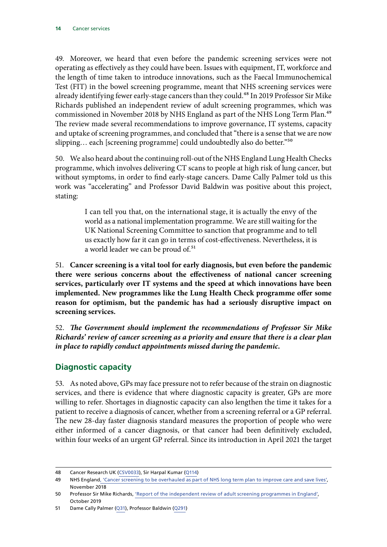<span id="page-15-0"></span>49. Moreover, we heard that even before the pandemic screening services were not operating as effectively as they could have been. Issues with equipment, IT, workforce and the length of time taken to introduce innovations, such as the Faecal Immunochemical Test (FIT) in the bowel screening programme, meant that NHS screening services were already identifying fewer early-stage cancers than they could.<sup>48</sup> In 2019 Professor Sir Mike Richards published an independent review of adult screening programmes, which was commissioned in November 2018 by NHS England as part of the NHS Long Term Plan.<sup>49</sup> The review made several recommendations to improve governance, IT systems, capacity and uptake of screening programmes, and concluded that "there is a sense that we are now slipping... each [screening programme] could undoubtedly also do better."<sup>50</sup>

50. We also heard about the continuing roll-out of the NHS England Lung Health Checks programme, which involves delivering CT scans to people at high risk of lung cancer, but without symptoms, in order to find early-stage cancers. Dame Cally Palmer told us this work was "accelerating" and Professor David Baldwin was positive about this project, stating:

> I can tell you that, on the international stage, it is actually the envy of the world as a national implementation programme. We are still waiting for the UK National Screening Committee to sanction that programme and to tell us exactly how far it can go in terms of cost-effectiveness. Nevertheless, it is a world leader we can be proud of.<sup>51</sup>

51. **Cancer screening is a vital tool for early diagnosis, but even before the pandemic there were serious concerns about the effectiveness of national cancer screening services, particularly over IT systems and the speed at which innovations have been implemented. New programmes like the Lung Health Check programme offer some reason for optimism, but the pandemic has had a seriously disruptive impact on screening services.**

52. *The Government should implement the recommendations of Professor Sir Mike Richards' review of cancer screening as a priority and ensure that there is a clear plan in place to rapidly conduct appointments missed during the pandemic.*

### **Diagnostic capacity**

53. As noted above, GPs may face pressure not to refer because of the strain on diagnostic services, and there is evidence that where diagnostic capacity is greater, GPs are more willing to refer. Shortages in diagnostic capacity can also lengthen the time it takes for a patient to receive a diagnosis of cancer, whether from a screening referral or a GP referral. The new 28-day faster diagnosis standard measures the proportion of people who were either informed of a cancer diagnosis, or that cancer had been definitively excluded, within four weeks of an urgent GP referral. Since its introduction in April 2021 the target

<sup>48</sup> Cancer Research UK [\(CSV0033\)](https://committees.parliament.uk/writtenevidence/38590/html/), Sir Harpal Kumar ([Q114](https://committees.parliament.uk/oralevidence/2855/html/))

<sup>49</sup> NHS England[, 'Cancer screening to be overhauled as part of NHS long term plan to improve care and save lives',](https://www.england.nhs.uk/2018/11/cancer-screening-to-be-overhauled-as-part-of-nhs-long-term-plan-to-improve-care-and-save-lives/) November 2018

<sup>50</sup> Professor Sir Mike Richards, ['Report of the independent review of adult screening programmes in England',](https://www.england.nhs.uk/wp-content/uploads/2019/02/report-of-the-independent-review-of-adult-screening-programme-in-england.pdf) October 2019

<sup>51</sup> Dame Cally Palmer ([Q31\)](https://committees.parliament.uk/oralevidence/2570/html/;), Professor Baldwin ([Q291\)](https://committees.parliament.uk/oralevidence/2982/html/)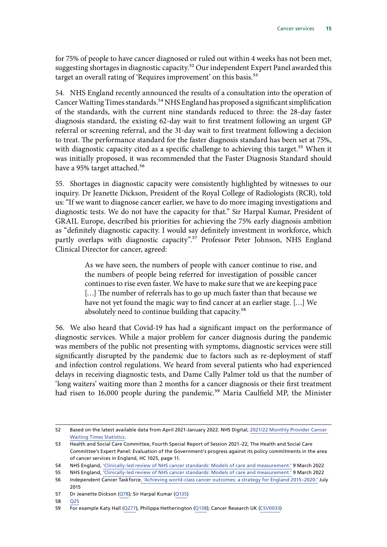for 75% of people to have cancer diagnosed or ruled out within 4 weeks has not been met, suggesting shortages in diagnostic capacity.<sup>52</sup> Our independent Expert Panel awarded this target an overall rating of 'Requires improvement' on this basis.<sup>53</sup>

54. NHS England recently announced the results of a consultation into the operation of Cancer Waiting Times standards.<sup>54</sup> NHS England has proposed a significant simplification of the standards, with the current nine standards reduced to three: the 28-day faster diagnosis standard, the existing 62-day wait to first treatment following an urgent GP referral or screening referral, and the 31-day wait to first treatment following a decision to treat. The performance standard for the faster diagnosis standard has been set at 75%, with diagnostic capacity cited as a specific challenge to achieving this target.<sup>55</sup> When it was initially proposed, it was recommended that the Faster Diagnosis Standard should have a 95% target attached.<sup>56</sup>

55. Shortages in diagnostic capacity were consistently highlighted by witnesses to our inquiry. Dr Jeanette Dickson, President of the Royal College of Radiologists (RCR), told us: "If we want to diagnose cancer earlier, we have to do more imaging investigations and diagnostic tests. We do not have the capacity for that." Sir Harpal Kumar, President of GRAIL Europe, described his priorities for achieving the 75% early diagnosis ambition as "definitely diagnostic capacity. I would say definitely investment in workforce, which partly overlaps with diagnostic capacity".<sup>57</sup> Professor Peter Johnson, NHS England Clinical Director for cancer, agreed:

> As we have seen, the numbers of people with cancer continue to rise, and the numbers of people being referred for investigation of possible cancer continues to rise even faster. We have to make sure that we are keeping pace [...] The number of referrals has to go up much faster than that because we have not yet found the magic way to find cancer at an earlier stage. […] We absolutely need to continue building that capacity.<sup>58</sup>

56. We also heard that Covid-19 has had a significant impact on the performance of diagnostic services. While a major problem for cancer diagnosis during the pandemic was members of the public not presenting with symptoms, diagnostic services were still significantly disrupted by the pandemic due to factors such as re-deployment of staff and infection control regulations. We heard from several patients who had experienced delays in receiving diagnostic tests, and Dame Cally Palmer told us that the number of 'long waiters' waiting more than 2 months for a cancer diagnosis or their first treatment had risen to 16,000 people during the pandemic.<sup>59</sup> Maria Caulfield MP, the Minister

<sup>52</sup> Based on the latest available data from April 2021-January 2022. NHS Digital, [2021/22 Monthly Provider Cancer](https://www.england.nhs.uk/statistics/statistical-work-areas/cancer-waiting-times/monthly-prov-cwt/2021-22-monthly-provider-cancer-waiting-times-statistics/)  [Waiting Times Statistics.](https://www.england.nhs.uk/statistics/statistical-work-areas/cancer-waiting-times/monthly-prov-cwt/2021-22-monthly-provider-cancer-waiting-times-statistics/)

<sup>53</sup> Health and Social Care Committee, Fourth Special Report of Session 2021–22, The Health and Social Care Committee's Expert Panel: Evaluation of the Government's progress against its policy commitments in the area of cancer services in England, HC 1025, page 11.

<sup>54</sup> NHS England, ['Clinically-led review of NHS cancer standards: Models of care and measurement.'](https://www.england.nhs.uk/wp-content/uploads/2022/03/B1320-clinically-led-review-of-nhs-cancer-standards-models-of-care-and-measurement_090322.pdf) 9 March 2022

<sup>55</sup> NHS England, ['Clinically-led review of NHS cancer standards: Models of care and measurement.'](https://www.england.nhs.uk/wp-content/uploads/2022/03/B1320-clinically-led-review-of-nhs-cancer-standards-models-of-care-and-measurement_090322.pdf) 9 March 2022

<sup>56</sup> Independent Cancer Taskforce[, 'Achieving world-class cancer outcomes: a strategy for England 2015–2020.'](https://www.cancerresearchuk.org/sites/default/files/achieving_world-class_cancer_outcomes_-_a_strategy_for_england_2015-2020.pdf) July 2015

<sup>57</sup> Dr Jeanette Dickson ([Q78\)](https://committees.parliament.uk/oralevidence/2855/html/); Sir Harpal Kumar ([Q135\)](https://committees.parliament.uk/oralevidence/2855/html/)

<sup>58</sup> [Q25](https://committees.parliament.uk/oralevidence/2570/html/;)

<sup>59</sup> For example Katy Hall ([Q277](https://committees.parliament.uk/oralevidence/2982/html/)), Philippa Hetherington [\(Q138](https://committees.parliament.uk/oralevidence/2886/html/)); Cancer Research UK [\(CSV0033](https://committees.parliament.uk/writtenevidence/38590/html/))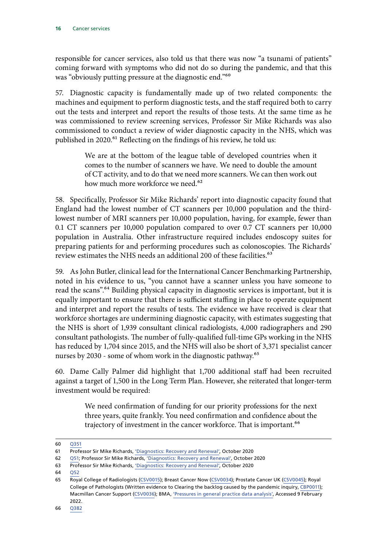responsible for cancer services, also told us that there was now "a tsunami of patients" coming forward with symptoms who did not do so during the pandemic, and that this was "obviously putting pressure at the diagnostic end."60

57. Diagnostic capacity is fundamentally made up of two related components: the machines and equipment to perform diagnostic tests, and the staff required both to carry out the tests and interpret and report the results of those tests. At the same time as he was commissioned to review screening services, Professor Sir Mike Richards was also commissioned to conduct a review of wider diagnostic capacity in the NHS, which was published in 2020.<sup>61</sup> Reflecting on the findings of his review, he told us:

> We are at the bottom of the league table of developed countries when it comes to the number of scanners we have. We need to double the amount of CT activity, and to do that we need more scanners. We can then work out how much more workforce we need.<sup>62</sup>

58. Specifically, Professor Sir Mike Richards' report into diagnostic capacity found that England had the lowest number of CT scanners per 10,000 population and the thirdlowest number of MRI scanners per 10,000 population, having, for example, fewer than 0.1 CT scanners per 10,000 population compared to over 0.7 CT scanners per 10,000 population in Australia. Other infrastructure required includes endoscopy suites for preparing patients for and performing procedures such as colonoscopies. The Richards' review estimates the NHS needs an additional 200 of these facilities.<sup>63</sup>

59. As John Butler, clinical lead for the International Cancer Benchmarking Partnership, noted in his evidence to us, "you cannot have a scanner unless you have someone to read the scans".<sup>64</sup> Building physical capacity in diagnostic services is important, but it is equally important to ensure that there is sufficient staffing in place to operate equipment and interpret and report the results of tests. The evidence we have received is clear that workforce shortages are undermining diagnostic capacity, with estimates suggesting that the NHS is short of 1,939 consultant clinical radiologists, 4,000 radiographers and 290 consultant pathologists. The number of fully-qualified full-time GPs working in the NHS has reduced by 1,704 since 2015, and the NHS will also be short of 3,371 specialist cancer nurses by 2030 - some of whom work in the diagnostic pathway.<sup>65</sup>

60. Dame Cally Palmer did highlight that 1,700 additional staff had been recruited against a target of 1,500 in the Long Term Plan. However, she reiterated that longer-term investment would be required:

> We need confirmation of funding for our priority professions for the next three years, quite frankly. You need confirmation and confidence about the trajectory of investment in the cancer workforce. That is important.<sup>66</sup>

<sup>60</sup> [Q351](https://committees.parliament.uk/oralevidence/3317/html/)

<sup>61</sup> Professor Sir Mike Richards, ['Diagnostics: Recovery and Renewal',](https://www.england.nhs.uk/wp-content/uploads/2020/10/BM2025Pu-item-5-diagnostics-recovery-and-renewal.pdf) October 2020

<sup>62</sup> [Q51](https://committees.parliament.uk/oralevidence/2570/html/;); Professor Sir Mike Richards, ['Diagnostics: Recovery and Renewal'](https://www.england.nhs.uk/wp-content/uploads/2020/10/BM2025Pu-item-5-diagnostics-recovery-and-renewal.pdf), October 2020

<sup>63</sup> Professor Sir Mike Richards, ['Diagnostics: Recovery and Renewal',](https://www.england.nhs.uk/wp-content/uploads/2020/10/BM2025Pu-item-5-diagnostics-recovery-and-renewal.pdf) October 2020

<sup>64</sup> [Q52](https://committees.parliament.uk/oralevidence/2570/html/)

<sup>65</sup> Royal College of Radiologists ([CSV0015](https://committees.parliament.uk/writtenevidence/38516/html/)); Breast Cancer Now [\(CSV0034](https://committees.parliament.uk/writtenevidence/38599/html/)); Prostate Cancer UK [\(CSV0045](https://committees.parliament.uk/writtenevidence/38714/html/)); Royal College of Pathologists (Written evidence to Clearing the backlog caused by the pandemic inquiry, [CBP0011\)](https://committees.parliament.uk/writtenevidence/38399/html/); Macmillan Cancer Support ([CSV0036\)](https://committees.parliament.uk/writtenevidence/38622/html/); BMA, ['Pressures in general practice data analysis',](https://www.bma.org.uk/advice-and-support/nhs-delivery-and-workforce/pressures/pressures-in-general-practice-data-analysis) Accessed 9 February 2022.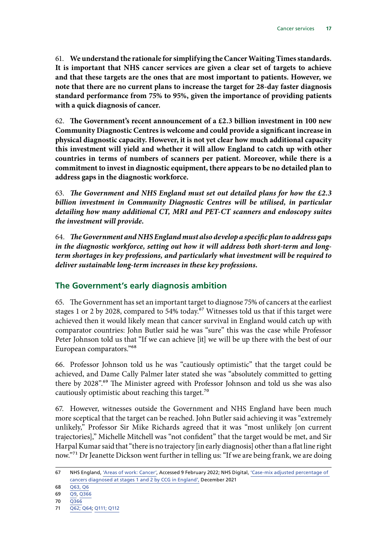<span id="page-18-0"></span>61. **We understand the rationale for simplifying the Cancer Waiting Times standards. It is important that NHS cancer services are given a clear set of targets to achieve and that these targets are the ones that are most important to patients. However, we note that there are no current plans to increase the target for 28-day faster diagnosis standard performance from 75% to 95%, given the importance of providing patients with a quick diagnosis of cancer.**

62. **The Government's recent announcement of a £2.3 billion investment in 100 new Community Diagnostic Centres is welcome and could provide a significant increase in physical diagnostic capacity. However, it is not yet clear how much additional capacity this investment will yield and whether it will allow England to catch up with other countries in terms of numbers of scanners per patient. Moreover, while there is a commitment to invest in diagnostic equipment, there appears to be no detailed plan to address gaps in the diagnostic workforce.**

63. *The Government and NHS England must set out detailed plans for how the £2.3 billion investment in Community Diagnostic Centres will be utilised, in particular detailing how many additional CT, MRI and PET-CT scanners and endoscopy suites the investment will provide.*

64. *The Government and NHS England must also develop a specific plan to address gaps in the diagnostic workforce, setting out how it will address both short-term and longterm shortages in key professions, and particularly what investment will be required to deliver sustainable long-term increases in these key professions.*

### **The Government's early diagnosis ambition**

65. The Government has set an important target to diagnose 75% of cancers at the earliest stages 1 or 2 by 2028, compared to  $54\%$  today.<sup>67</sup> Witnesses told us that if this target were achieved then it would likely mean that cancer survival in England would catch up with comparator countries: John Butler said he was "sure" this was the case while Professor Peter Johnson told us that "If we can achieve [it] we will be up there with the best of our European comparators."68

66. Professor Johnson told us he was "cautiously optimistic" that the target could be achieved, and Dame Cally Palmer later stated she was "absolutely committed to getting there by 2028".<sup>69</sup> The Minister agreed with Professor Johnson and told us she was also cautiously optimistic about reaching this target.<sup>70</sup>

67. However, witnesses outside the Government and NHS England have been much more sceptical that the target can be reached. John Butler said achieving it was "extremely unlikely," Professor Sir Mike Richards agreed that it was "most unlikely [on current trajectories]," Michelle Mitchell was "not confident" that the target would be met, and Sir Harpal Kumar said that "there is no trajectory [in early diagnosis] other than a flat line right now."<sup>71</sup> Dr Jeanette Dickson went further in telling us: "If we are being frank, we are doing

<sup>67</sup> NHS England, ['Areas of work: Cancer',](https://www.longtermplan.nhs.uk/areas-of-work/cancer/) Accessed 9 February 2022; NHS Digital, ['Case-mix adjusted percentage of](https://digital.nhs.uk/data-and-information/publications/statistical/case-mix-adjusted-percentage-cancers-diagnosed-at-stages-1-and-2-by-ccg-in-england/2019)  [cancers diagnosed at stages 1 and 2 by CCG in England',](https://digital.nhs.uk/data-and-information/publications/statistical/case-mix-adjusted-percentage-cancers-diagnosed-at-stages-1-and-2-by-ccg-in-england/2019) December 2021

<sup>68</sup> [Q63, Q6](https://committees.parliament.uk/oralevidence/2570/html/;)

<sup>69</sup> [Q9,](https://committees.parliament.uk/oralevidence/2570/html/;) [Q366](https://committees.parliament.uk/oralevidence/3317/html/)

<sup>70</sup> [Q366](https://committees.parliament.uk/oralevidence/3317/html/)

<sup>71</sup> [Q62; Q64](https://committees.parliament.uk/oralevidence/2570/html/;); [Q111; Q112](https://committees.parliament.uk/oralevidence/2855/html/)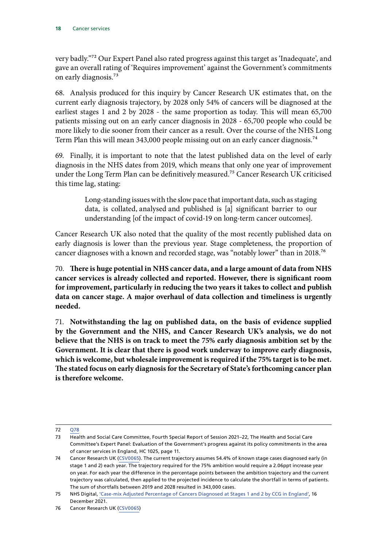very badly."72 Our Expert Panel also rated progress against this target as 'Inadequate', and gave an overall rating of 'Requires improvement' against the Government's commitments on early diagnosis.73

68. Analysis produced for this inquiry by Cancer Research UK estimates that, on the current early diagnosis trajectory, by 2028 only 54% of cancers will be diagnosed at the earliest stages 1 and 2 by 2028 - the same proportion as today. This will mean 65,700 patients missing out on an early cancer diagnosis in 2028 - 65,700 people who could be more likely to die sooner from their cancer as a result. Over the course of the NHS Long Term Plan this will mean 343,000 people missing out on an early cancer diagnosis.<sup>74</sup>

69. Finally, it is important to note that the latest published data on the level of early diagnosis in the NHS dates from 2019, which means that only one year of improvement under the Long Term Plan can be definitively measured.<sup>75</sup> Cancer Research UK criticised this time lag, stating:

> Long-standing issues with the slow pace that important data, such as staging data, is collated, analysed and published is [a] significant barrier to our understanding [of the impact of covid-19 on long-term cancer outcomes].

Cancer Research UK also noted that the quality of the most recently published data on early diagnosis is lower than the previous year. Stage completeness, the proportion of cancer diagnoses with a known and recorded stage, was "notably lower" than in 2018.76

70. **There is huge potential in NHS cancer data, and a large amount of data from NHS cancer services is already collected and reported. However, there is significant room for improvement, particularly in reducing the two years it takes to collect and publish data on cancer stage. A major overhaul of data collection and timeliness is urgently needed.**

71. **Notwithstanding the lag on published data, on the basis of evidence supplied by the Government and the NHS, and Cancer Research UK's analysis, we do not believe that the NHS is on track to meet the 75% early diagnosis ambition set by the Government. It is clear that there is good work underway to improve early diagnosis, which is welcome, but wholesale improvement is required if the 75% target is to be met. The stated focus on early diagnosis for the Secretary of State's forthcoming cancer plan is therefore welcome.**

<sup>72</sup> [Q78](https://committees.parliament.uk/oralevidence/2855/html/)

<sup>73</sup> Health and Social Care Committee, Fourth Special Report of Session 2021–22, The Health and Social Care Committee's Expert Panel: Evaluation of the Government's progress against its policy commitments in the area of cancer services in England, HC 1025, page 11.

<sup>74</sup> Cancer Research UK [\(CSV0065](https://committees.parliament.uk/writtenevidence/106932/html/)). The current trajectory assumes 54.4% of known stage cases diagnosed early (in stage 1 and 2) each year. The trajectory required for the 75% ambition would require a 2.06ppt increase year on year. For each year the difference in the percentage points between the ambition trajectory and the current trajectory was calculated, then applied to the projected incidence to calculate the shortfall in terms of patients. The sum of shortfalls between 2019 and 2028 resulted in 343,000 cases.

<sup>75</sup> NHS Digital, ['Case-mix Adjusted Percentage of Cancers Diagnosed at Stages 1 and 2 by CCG in England'](https://digital.nhs.uk/data-and-information/publications/statistical/case-mix-adjusted-percentage-cancers-diagnosed-at-stages-1-and-2-by-ccg-in-england/2019), 16 December 2021.

<sup>76</sup> Cancer Research UK [\(CSV0065](https://committees.parliament.uk/writtenevidence/106932/html/))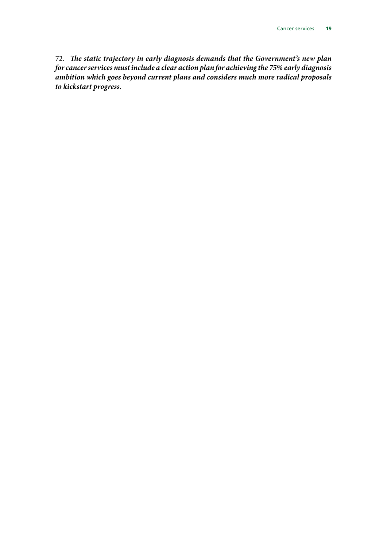72. *The static trajectory in early diagnosis demands that the Government's new plan for cancer services must include a clear action plan for achieving the 75% early diagnosis ambition which goes beyond current plans and considers much more radical proposals to kickstart progress.*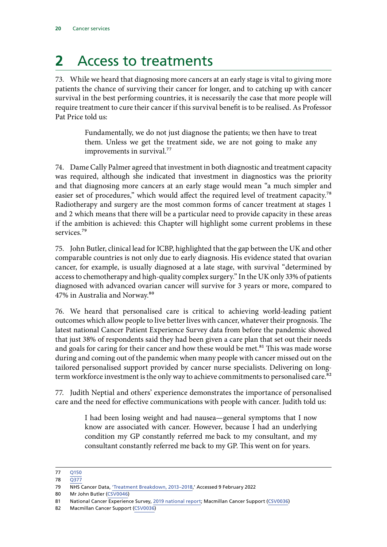## <span id="page-21-0"></span>**2** Access to treatments

73. While we heard that diagnosing more cancers at an early stage is vital to giving more patients the chance of surviving their cancer for longer, and to catching up with cancer survival in the best performing countries, it is necessarily the case that more people will require treatment to cure their cancer if this survival benefit is to be realised. As Professor Pat Price told us:

> Fundamentally, we do not just diagnose the patients; we then have to treat them. Unless we get the treatment side, we are not going to make any improvements in survival.<sup>77</sup>

74. Dame Cally Palmer agreed that investment in both diagnostic and treatment capacity was required, although she indicated that investment in diagnostics was the priority and that diagnosing more cancers at an early stage would mean "a much simpler and easier set of procedures," which would affect the required level of treatment capacity.<sup>78</sup> Radiotherapy and surgery are the most common forms of cancer treatment at stages 1 and 2 which means that there will be a particular need to provide capacity in these areas if the ambition is achieved: this Chapter will highlight some current problems in these services.79

75. John Butler, clinical lead for ICBP, highlighted that the gap between the UK and other comparable countries is not only due to early diagnosis. His evidence stated that ovarian cancer, for example, is usually diagnosed at a late stage, with survival "determined by access to chemotherapy and high-quality complex surgery." In the UK only 33% of patients diagnosed with advanced ovarian cancer will survive for 3 years or more, compared to 47% in Australia and Norway.<sup>80</sup>

76. We heard that personalised care is critical to achieving world-leading patient outcomes which allow people to live better lives with cancer, whatever their prognosis. The latest national Cancer Patient Experience Survey data from before the pandemic showed that just 38% of respondents said they had been given a care plan that set out their needs and goals for caring for their cancer and how these would be met.<sup>81</sup> This was made worse during and coming out of the pandemic when many people with cancer missed out on the tailored personalised support provided by cancer nurse specialists. Delivering on longterm workforce investment is the only way to achieve commitments to personalised care.<sup>82</sup>

77. Judith Neptial and others' experience demonstrates the importance of personalised care and the need for effective communications with people with cancer. Judith told us:

> I had been losing weight and had nausea—general symptoms that I now know are associated with cancer. However, because I had an underlying condition my GP constantly referred me back to my consultant, and my consultant constantly referred me back to my GP. This went on for years.

82 Macmillan Cancer Support ([CSV0036\)](https://committees.parliament.uk/writtenevidence/38622/html/)

<sup>77</sup> [Q150](https://committees.parliament.uk/oralevidence/2886/html/)

<sup>78</sup> [Q377](https://committees.parliament.uk/oralevidence/3317/html/)

<sup>79</sup> NHS Cancer Data, ['Treatment Breakdown, 2013–2018](https://www.cancerdata.nhs.uk/treatments),' Accessed 9 February 2022

<sup>80</sup> Mr John Butler [\(CSV0046\)](https://committees.parliament.uk/writtenevidence/38715/html/)

<sup>81</sup> National Cancer Experience Survey, [2019 national report](https://www.ncpes.co.uk/wp-content/uploads/2020/06/CPES-2019-National-Report_V1.pdf); Macmillan Cancer Support [\(CSV0036\)](https://committees.parliament.uk/writtenevidence/38622/html/)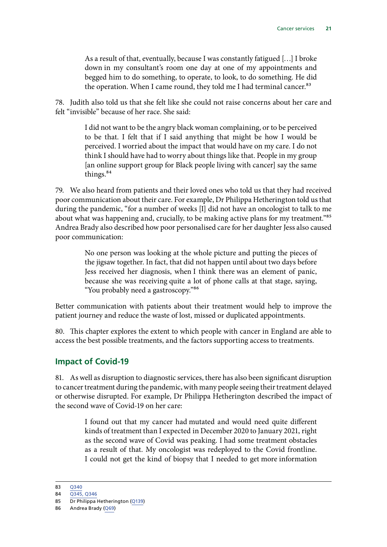<span id="page-22-0"></span>As a result of that, eventually, because I was constantly fatigued […] I broke down in my consultant's room one day at one of my appointments and begged him to do something, to operate, to look, to do something. He did the operation. When I came round, they told me I had terminal cancer.<sup>83</sup>

78. Judith also told us that she felt like she could not raise concerns about her care and felt "invisible" because of her race. She said:

> I did not want to be the angry black woman complaining, or to be perceived to be that. I felt that if I said anything that might be how I would be perceived. I worried about the impact that would have on my care. I do not think I should have had to worry about things like that. People in my group [an online support group for Black people living with cancer] say the same things.<sup>84</sup>

79. We also heard from patients and their loved ones who told us that they had received poor communication about their care. For example, Dr Philippa Hetherington told us that during the pandemic, "for a number of weeks [I] did not have an oncologist to talk to me about what was happening and, crucially, to be making active plans for my treatment."<sup>85</sup> Andrea Brady also described how poor personalised care for her daughter Jess also caused poor communication:

> No one person was looking at the whole picture and putting the pieces of the jigsaw together. In fact, that did not happen until about two days before Jess received her diagnosis, when I think there was an element of panic, because she was receiving quite a lot of phone calls at that stage, saying, "You probably need a gastroscopy."86

Better communication with patients about their treatment would help to improve the patient journey and reduce the waste of lost, missed or duplicated appointments.

80. This chapter explores the extent to which people with cancer in England are able to access the best possible treatments, and the factors supporting access to treatments.

### **Impact of Covid-19**

81. As well as disruption to diagnostic services, there has also been significant disruption to cancer treatment during the pandemic, with many people seeing their treatment delayed or otherwise disrupted. For example, Dr Philippa Hetherington described the impact of the second wave of Covid-19 on her care:

> I found out that my cancer had mutated and would need quite different kinds of treatment than I expected in December 2020 to January 2021, right as the second wave of Covid was peaking. I had some treatment obstacles as a result of that. My oncologist was redeployed to the Covid frontline. I could not get the kind of biopsy that I needed to get more information

<sup>83 0340</sup> 

<sup>84</sup> [Q345, Q346](https://committees.parliament.uk/oralevidence/3317/html/)

<sup>85</sup> Dr Philippa Hetherington ([Q139\)](https://committees.parliament.uk/oralevidence/2886/html/)

<sup>86</sup> Andrea Brady [\(Q69\)](https://committees.parliament.uk/oralevidence/2855/html/)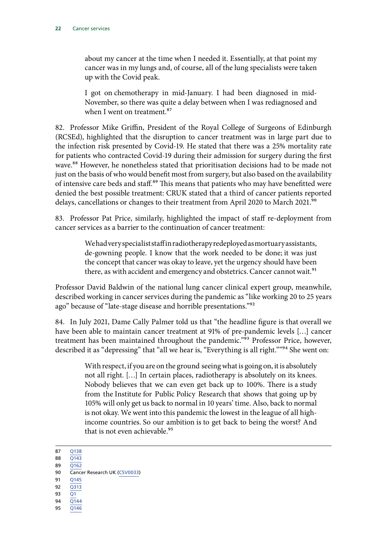about my cancer at the time when I needed it. Essentially, at that point my cancer was in my lungs and, of course, all of the lung specialists were taken up with the Covid peak.

I got on chemotherapy in mid-January. I had been diagnosed in mid-November, so there was quite a delay between when I was rediagnosed and when I went on treatment <sup>87</sup>

82. Professor Mike Griffin, President of the Royal College of Surgeons of Edinburgh (RCSEd), highlighted that the disruption to cancer treatment was in large part due to the infection risk presented by Covid-19. He stated that there was a 25% mortality rate for patients who contracted Covid-19 during their admission for surgery during the first wave.88 However, he nonetheless stated that prioritisation decisions had to be made not just on the basis of who would benefit most from surgery, but also based on the availability of intensive care beds and staff.<sup>89</sup> This means that patients who may have benefitted were denied the best possible treatment: CRUK stated that a third of cancer patients reported delays, cancellations or changes to their treatment from April 2020 to March 2021.<sup>90</sup>

83. Professor Pat Price, similarly, highlighted the impact of staff re-deployment from cancer services as a barrier to the continuation of cancer treatment:

> We had very specialist staff in radiotherapy redeployed as mortuary assistants, de-gowning people. I know that the work needed to be done; it was just the concept that cancer was okay to leave, yet the urgency should have been there, as with accident and emergency and obstetrics. Cancer cannot wait.<sup>91</sup>

Professor David Baldwin of the national lung cancer clinical expert group, meanwhile, described working in cancer services during the pandemic as "like working 20 to 25 years ago" because of "late-stage disease and horrible presentations."<sup>92</sup>

84. In July 2021, Dame Cally Palmer told us that "the headline figure is that overall we have been able to maintain cancer treatment at 91% of pre-pandemic levels […] cancer treatment has been maintained throughout the pandemic."<sup>93</sup> Professor Price, however, described it as "depressing" that "all we hear is, "Everything is all right.""<sup>94</sup> She went on:

> With respect, if you are on the ground seeing what is going on, it is absolutely not all right. […] In certain places, radiotherapy is absolutely on its knees. Nobody believes that we can even get back up to 100%. There is a study from the Institute for Public Policy Research that shows that going up by 105% will only get us back to normal in 10 years' time. Also, back to normal is not okay. We went into this pandemic the lowest in the league of all highincome countries. So our ambition is to get back to being the worst? And that is not even achievable.<sup>95</sup>

- 88 [Q143](https://committees.parliament.uk/oralevidence/2886/html/) 89 [Q162](https://committees.parliament.uk/oralevidence/2886/html/)
- 90 Cancer Research UK [\(CSV0033\)](https://committees.parliament.uk/writtenevidence/38590/html/)
- 91 0145
- 92 [Q313](https://committees.parliament.uk/oralevidence/2982/html/)
- 93 [Q1](https://committees.parliament.uk/oralevidence/2570/html/;)
- 94 [Q144](https://committees.parliament.uk/oralevidence/2886/html/)
- 95 [Q146](https://committees.parliament.uk/oralevidence/2886/html/)

<sup>87</sup> [Q138](https://committees.parliament.uk/oralevidence/2886/html/)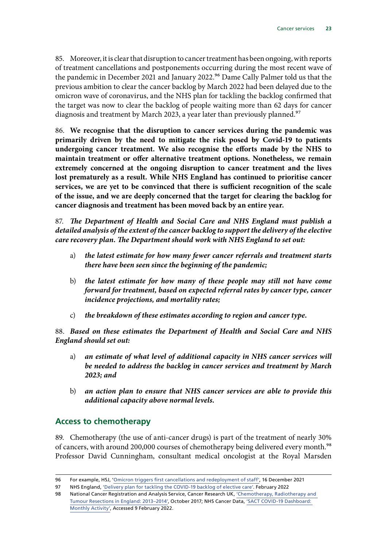<span id="page-24-0"></span>85. Moreover, it is clear that disruption to cancer treatment has been ongoing, with reports of treatment cancellations and postponements occurring during the most recent wave of the pandemic in December 2021 and January 2022.<sup>96</sup> Dame Cally Palmer told us that the previous ambition to clear the cancer backlog by March 2022 had been delayed due to the omicron wave of coronavirus, and the NHS plan for tackling the backlog confirmed that the target was now to clear the backlog of people waiting more than 62 days for cancer diagnosis and treatment by March 2023, a year later than previously planned.<sup>97</sup>

86. **We recognise that the disruption to cancer services during the pandemic was primarily driven by the need to mitigate the risk posed by Covid-19 to patients undergoing cancer treatment. We also recognise the efforts made by the NHS to maintain treatment or offer alternative treatment options. Nonetheless, we remain extremely concerned at the ongoing disruption to cancer treatment and the lives lost prematurely as a result. While NHS England has continued to prioritise cancer services, we are yet to be convinced that there is sufficient recognition of the scale of the issue, and we are deeply concerned that the target for clearing the backlog for cancer diagnosis and treatment has been moved back by an entire year.**

87. *The Department of Health and Social Care and NHS England must publish a detailed analysis of the extent of the cancer backlog to support the delivery of the elective care recovery plan. The Department should work with NHS England to set out:*

- a) *the latest estimate for how many fewer cancer referrals and treatment starts there have been seen since the beginning of the pandemic;*
- b) *the latest estimate for how many of these people may still not have come forward for treatment, based on expected referral rates by cancer type, cancer incidence projections, and mortality rates;*
- c) *the breakdown of these estimates according to region and cancer type.*

88. *Based on these estimates the Department of Health and Social Care and NHS England should set out:*

- a) *an estimate of what level of additional capacity in NHS cancer services will be needed to address the backlog in cancer services and treatment by March 2023; and*
- b) *an action plan to ensure that NHS cancer services are able to provide this additional capacity above normal levels.*

### **Access to chemotherapy**

89. Chemotherapy (the use of anti-cancer drugs) is part of the treatment of nearly 30% of cancers, with around 200,000 courses of chemotherapy being delivered every month.<sup>98</sup> Professor David Cunningham, consultant medical oncologist at the Royal Marsden

<sup>96</sup> For example, HSJ, '[Omicron triggers first cancellations and redeployment of staff',](https://www.hsj.co.uk/coronavirus/omicron-triggers-first-cancellations-and-redeployment-of-staff/7031563.article) 16 December 2021

<sup>97</sup> NHS England, ['Delivery plan for tackling the COVID-19 backlog of elective care'](https://www.england.nhs.uk/coronavirus/wp-content/uploads/sites/52/2022/02/C1466-delivery-plan-for-tackling-the-covid-19-backlog-of-elective-care.pdf). February 2022

<sup>98</sup> National Cancer Registration and Analysis Service, Cancer Research UK, ['Chemotherapy, Radiotherapy and](http://www.ncin.org.uk/cancer_type_and_topic_specific_work/topic_specific_work/main_cancer_treatments) [Tumour Resections in England: 2013–2014'](http://www.ncin.org.uk/cancer_type_and_topic_specific_work/topic_specific_work/main_cancer_treatments), October 2017; NHS Cancer Data, ['SACT COVID-19 Dashboard:](https://www.cancerdata.nhs.uk/covid-19/sact)  [Monthly Activity'](https://www.cancerdata.nhs.uk/covid-19/sact), Accessed 9 February 2022.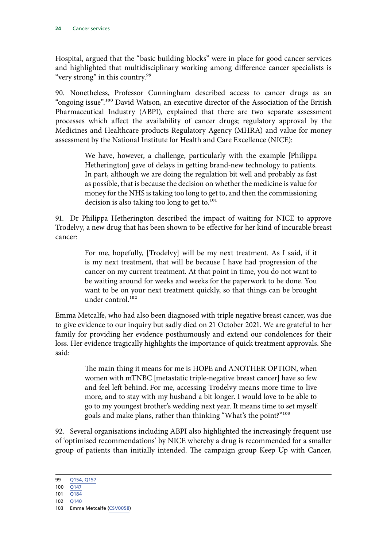Hospital, argued that the "basic building blocks" were in place for good cancer services and highlighted that multidisciplinary working among difference cancer specialists is "very strong" in this country.<sup>99</sup>

90. Nonetheless, Professor Cunningham described access to cancer drugs as an "ongoing issue".100 David Watson, an executive director of the Association of the British Pharmaceutical Industry (ABPI), explained that there are two separate assessment processes which affect the availability of cancer drugs; regulatory approval by the Medicines and Healthcare products Regulatory Agency (MHRA) and value for money assessment by the National Institute for Health and Care Excellence (NICE):

> We have, however, a challenge, particularly with the example [Philippa Hetherington] gave of delays in getting brand-new technology to patients. In part, although we are doing the regulation bit well and probably as fast as possible, that is because the decision on whether the medicine is value for money for the NHS is taking too long to get to, and then the commissioning decision is also taking too long to get to.<sup>101</sup>

91. Dr Philippa Hetherington described the impact of waiting for NICE to approve Trodelvy, a new drug that has been shown to be effective for her kind of incurable breast cancer:

> For me, hopefully, [Trodelvy] will be my next treatment. As I said, if it is my next treatment, that will be because I have had progression of the cancer on my current treatment. At that point in time, you do not want to be waiting around for weeks and weeks for the paperwork to be done. You want to be on your next treatment quickly, so that things can be brought under control.102

Emma Metcalfe, who had also been diagnosed with triple negative breast cancer, was due to give evidence to our inquiry but sadly died on 21 October 2021. We are grateful to her family for providing her evidence posthumously and extend our condolences for their loss. Her evidence tragically highlights the importance of quick treatment approvals. She said:

> The main thing it means for me is HOPE and ANOTHER OPTION, when women with mTNBC [metastatic triple-negative breast cancer] have so few and feel left behind. For me, accessing Trodelvy means more time to live more, and to stay with my husband a bit longer. I would love to be able to go to my youngest brother's wedding next year. It means time to set myself goals and make plans, rather than thinking "What's the point?"103

92. Several organisations including ABPI also highlighted the increasingly frequent use of 'optimised recommendations' by NICE whereby a drug is recommended for a smaller group of patients than initially intended. The campaign group Keep Up with Cancer,

<sup>99</sup> [Q154, Q157](https://committees.parliament.uk/oralevidence/2886/html/)

<sup>100</sup> [Q147](https://committees.parliament.uk/oralevidence/2886/html/)

<sup>101</sup> [Q184](https://committees.parliament.uk/oralevidence/2886/html/)

<sup>102</sup> [Q140](https://committees.parliament.uk/oralevidence/2886/html/)

<sup>103</sup> Emma Metcalfe ([CSV0058](https://committees.parliament.uk/writtenevidence/40667/html/))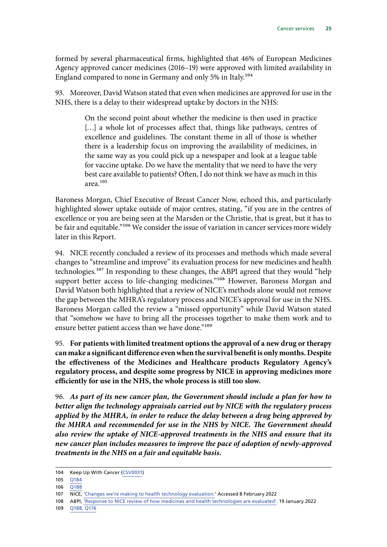formed by several pharmaceutical firms, highlighted that 46% of European Medicines Agency approved cancer medicines (2016–19) were approved with limited availability in England compared to none in Germany and only 5% in Italy.104

93. Moreover, David Watson stated that even when medicines are approved for use in the NHS, there is a delay to their widespread uptake by doctors in the NHS:

> On the second point about whether the medicine is then used in practice [...] a whole lot of processes affect that, things like pathways, centres of excellence and guidelines. The constant theme in all of those is whether there is a leadership focus on improving the availability of medicines, in the same way as you could pick up a newspaper and look at a league table for vaccine uptake. Do we have the mentality that we need to have the very best care available to patients? Often, I do not think we have as much in this area.105

Baroness Morgan, Chief Executive of Breast Cancer Now, echoed this, and particularly highlighted slower uptake outside of major centres, stating, "if you are in the centres of excellence or you are being seen at the Marsden or the Christie, that is great, but it has to be fair and equitable."<sup>106</sup> We consider the issue of variation in cancer services more widely later in this Report.

94. NICE recently concluded a review of its processes and methods which made several changes to "streamline and improve" its evaluation process for new medicines and health technologies.107 In responding to these changes, the ABPI agreed that they would "help support better access to life-changing medicines."<sup>108</sup> However, Baroness Morgan and David Watson both highlighted that a review of NICE's methods alone would not remove the gap between the MHRA's regulatory process and NICE's approval for use in the NHS. Baroness Morgan called the review a "missed opportunity" while David Watson stated that "somehow we have to bring all the processes together to make them work and to ensure better patient access than we have done."<sup>109</sup>

95. **For patients with limited treatment options the approval of a new drug or therapy can make a significant difference even when the survival benefit is only months. Despite the effectiveness of the Medicines and Healthcare products Regulatory Agency's regulatory process, and despite some progress by NICE in approving medicines more efficiently for use in the NHS, the whole process is still too slow.**

96. *As part of its new cancer plan, the Government should include a plan for how to better align the technology appraisals carried out by NICE with the regulatory process applied by the MHRA, in order to reduce the delay between a drug being approved by the MHRA and recommended for use in the NHS by NICE. The Government should also review the uptake of NICE-approved treatments in the NHS and ensure that its new cancer plan includes measures to improve the pace of adoption of newly-approved treatments in the NHS on a fair and equitable basis.*

- 108 ABPI, ['Response to NICE review of how medicines and health technologies are evaluated'](https://www.abpi.org.uk/media/news/2022/january/abpi-response-to-nice-review-of-how-medicines-and-health-technologies-are-evaluated/). 19 January 2022
- 109 [Q188, Q176](https://committees.parliament.uk/oralevidence/2886/html/)

<sup>104</sup> Keep Up With Cancer ([CSV0031](https://committees.parliament.uk/writtenevidence/38585/html/))

<sup>105</sup> [Q184](https://committees.parliament.uk/oralevidence/2886/html/)

<sup>106 0188</sup> 

<sup>107</sup> NICE, ['Changes we're making to health technology evaluation.'](https://www.nice.org.uk/about/what-we-do/our-programmes/nice-guidance/nice-technology-appraisal-guidance/changes-to-health-technology-evaluation) Accessed 8 February 2022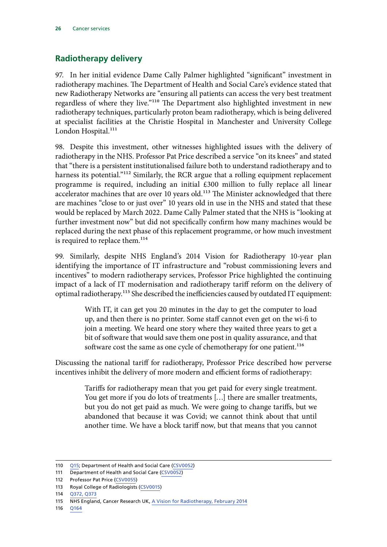### <span id="page-27-0"></span>**Radiotherapy delivery**

97. In her initial evidence Dame Cally Palmer highlighted "significant" investment in radiotherapy machines. The Department of Health and Social Care's evidence stated that new Radiotherapy Networks are "ensuring all patients can access the very best treatment regardless of where they live."110 The Department also highlighted investment in new radiotherapy techniques, particularly proton beam radiotherapy, which is being delivered at specialist facilities at the Christie Hospital in Manchester and University College London Hospital.<sup>111</sup>

98. Despite this investment, other witnesses highlighted issues with the delivery of radiotherapy in the NHS. Professor Pat Price described a service "on its knees" and stated that "there is a persistent institutionalised failure both to understand radiotherapy and to harness its potential."<sup>112</sup> Similarly, the RCR argue that a rolling equipment replacement programme is required, including an initial £300 million to fully replace all linear accelerator machines that are over 10 years old.<sup>113</sup> The Minister acknowledged that there are machines "close to or just over" 10 years old in use in the NHS and stated that these would be replaced by March 2022. Dame Cally Palmer stated that the NHS is "looking at further investment now" but did not specifically confirm how many machines would be replaced during the next phase of this replacement programme, or how much investment is required to replace them.<sup>114</sup>

99. Similarly, despite NHS England's 2014 Vision for Radiotherapy 10-year plan identifying the importance of IT infrastructure and "robust commissioning levers and incentives" to modern radiotherapy services, Professor Price highlighted the continuing impact of a lack of IT modernisation and radiotherapy tariff reform on the delivery of optimal radiotherapy.115 She described the inefficiencies caused by outdated IT equipment:

> With IT, it can get you 20 minutes in the day to get the computer to load up, and then there is no printer. Some staff cannot even get on the wi-fi to join a meeting. We heard one story where they waited three years to get a bit of software that would save them one post in quality assurance, and that software cost the same as one cycle of chemotherapy for one patient.<sup>116</sup>

Discussing the national tariff for radiotherapy, Professor Price described how perverse incentives inhibit the delivery of more modern and efficient forms of radiotherapy:

> Tariffs for radiotherapy mean that you get paid for every single treatment. You get more if you do lots of treatments […] there are smaller treatments, but you do not get paid as much. We were going to change tariffs, but we abandoned that because it was Covid; we cannot think about that until another time. We have a block tariff now, but that means that you cannot

<sup>110</sup> [Q15](https://committees.parliament.uk/oralevidence/2570/html/;); Department of Health and Social Care [\(CSV0052](https://committees.parliament.uk/writtenevidence/39021/html/))

<sup>111</sup> Department of Health and Social Care [\(CSV0052](https://committees.parliament.uk/writtenevidence/39021/html/))

<sup>112</sup> Professor Pat Price ([CSV0055](https://committees.parliament.uk/writtenevidence/40664/html/))

<sup>113</sup> Royal College of Radiologists ([CSV0015](https://committees.parliament.uk/writtenevidence/38516/html/))

<sup>114</sup> [Q372, Q373](https://committees.parliament.uk/oralevidence/3317/html/)

<sup>115</sup> NHS England, Cancer Research UK, [A Vision for Radiotherapy,](https://www.cancerresearchuk.org/sites/default/files/policy_feb2014_radiotherapy_vision2014-2024_final.pdf) February 2014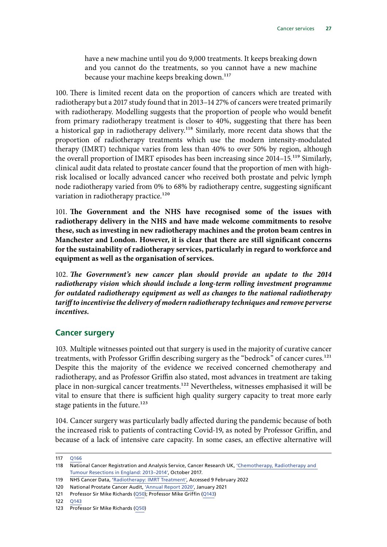<span id="page-28-0"></span>have a new machine until you do 9,000 treatments. It keeps breaking down and you cannot do the treatments, so you cannot have a new machine because your machine keeps breaking down.<sup>117</sup>

100. There is limited recent data on the proportion of cancers which are treated with radiotherapy but a 2017 study found that in 2013–14 27% of cancers were treated primarily with radiotherapy. Modelling suggests that the proportion of people who would benefit from primary radiotherapy treatment is closer to 40%, suggesting that there has been a historical gap in radiotherapy delivery.<sup>118</sup> Similarly, more recent data shows that the proportion of radiotherapy treatments which use the modern intensity-modulated therapy (IMRT) technique varies from less than 40% to over 50% by region, although the overall proportion of IMRT episodes has been increasing since 2014–15.119 Similarly, clinical audit data related to prostate cancer found that the proportion of men with highrisk localised or locally advanced cancer who received both prostate and pelvic lymph node radiotherapy varied from 0% to 68% by radiotherapy centre, suggesting significant variation in radiotherapy practice.<sup>120</sup>

101. **The Government and the NHS have recognised some of the issues with radiotherapy delivery in the NHS and have made welcome commitments to resolve these, such as investing in new radiotherapy machines and the proton beam centres in Manchester and London. However, it is clear that there are still significant concerns for the sustainability of radiotherapy services, particularly in regard to workforce and equipment as well as the organisation of services.**

102. *The Government's new cancer plan should provide an update to the 2014 radiotherapy vision which should include a long-term rolling investment programme for outdated radiotherapy equipment as well as changes to the national radiotherapy tariff to incentivise the delivery of modern radiotherapy techniques and remove perverse incentives.*

#### **Cancer surgery**

103. Multiple witnesses pointed out that surgery is used in the majority of curative cancer treatments, with Professor Griffin describing surgery as the "bedrock" of cancer cures.<sup>121</sup> Despite this the majority of the evidence we received concerned chemotherapy and radiotherapy, and as Professor Griffin also stated, most advances in treatment are taking place in non-surgical cancer treatments.<sup>122</sup> Nevertheless, witnesses emphasised it will be vital to ensure that there is sufficient high quality surgery capacity to treat more early stage patients in the future.<sup>123</sup>

104. Cancer surgery was particularly badly affected during the pandemic because of both the increased risk to patients of contracting Covid-19, as noted by Professor Griffin, and because of a lack of intensive care capacity. In some cases, an effective alternative will

<sup>117</sup> [Q166](https://committees.parliament.uk/oralevidence/2886/html/)

<sup>118</sup> National Cancer Registration and Analysis Service, Cancer Research UK, 'Chemotherapy, Radiotherapy and [Tumour Resections in England: 2013–2014'](http://www.ncin.org.uk/cancer_type_and_topic_specific_work/topic_specific_work/main_cancer_treatments), October 2017.

<sup>119</sup> NHS Cancer Data, '[Radiotherapy: IMRT Treatment',](https://www.cancerdata.nhs.uk/radiotherapy/dashboard) Accessed 9 February 2022

<sup>120</sup> National Prostate Cancer Audit, ['Annual Report 2020'](https://www.npca.org.uk/content/uploads/2021/01/NPCA-Annual-Report-2020_Final_140121.pdf), January 2021

<sup>121</sup> Professor Sir Mike Richards ([Q50](https://committees.parliament.uk/oralevidence/2570/html/https:/committees.parliament.uk/oralevidence/2570/html/))); Professor Mike Griffin [\(Q143](https://committees.parliament.uk/oralevidence/2886/html/))

<sup>122</sup> [Q143](https://committees.parliament.uk/oralevidence/2886/html/)

<sup>123</sup> Professor Sir Mike Richards ([Q50](https://committees.parliament.uk/oralevidence/2570/html/https:/committees.parliament.uk/oralevidence/2570/html/)))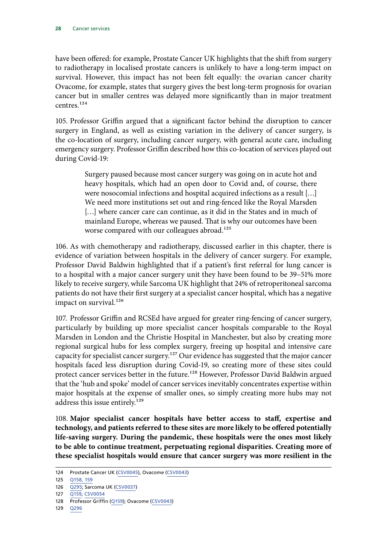have been offered: for example, Prostate Cancer UK highlights that the shift from surgery to radiotherapy in localised prostate cancers is unlikely to have a long-term impact on survival. However, this impact has not been felt equally: the ovarian cancer charity Ovacome, for example, states that surgery gives the best long-term prognosis for ovarian cancer but in smaller centres was delayed more significantly than in major treatment centres.<sup>124</sup>

105. Professor Griffin argued that a significant factor behind the disruption to cancer surgery in England, as well as existing variation in the delivery of cancer surgery, is the co-location of surgery, including cancer surgery, with general acute care, including emergency surgery. Professor Griffin described how this co-location of services played out during Covid-19:

> Surgery paused because most cancer surgery was going on in acute hot and heavy hospitals, which had an open door to Covid and, of course, there were nosocomial infections and hospital acquired infections as a result […] We need more institutions set out and ring-fenced like the Royal Marsden [...] where cancer care can continue, as it did in the States and in much of mainland Europe, whereas we paused. That is why our outcomes have been worse compared with our colleagues abroad.<sup>125</sup>

106. As with chemotherapy and radiotherapy, discussed earlier in this chapter, there is evidence of variation between hospitals in the delivery of cancer surgery. For example, Professor David Baldwin highlighted that if a patient's first referral for lung cancer is to a hospital with a major cancer surgery unit they have been found to be 39–51% more likely to receive surgery, while Sarcoma UK highlight that 24% of retroperitoneal sarcoma patients do not have their first surgery at a specialist cancer hospital, which has a negative impact on survival.<sup>126</sup>

107. Professor Griffin and RCSEd have argued for greater ring-fencing of cancer surgery, particularly by building up more specialist cancer hospitals comparable to the Royal Marsden in London and the Christie Hospital in Manchester, but also by creating more regional surgical hubs for less complex surgery, freeing up hospital and intensive care capacity for specialist cancer surgery.<sup>127</sup> Our evidence has suggested that the major cancer hospitals faced less disruption during Covid-19, so creating more of these sites could protect cancer services better in the future.<sup>128</sup> However, Professor David Baldwin argued that the 'hub and spoke' model of cancer services inevitably concentrates expertise within major hospitals at the expense of smaller ones, so simply creating more hubs may not address this issue entirely.<sup>129</sup>

108. **Major specialist cancer hospitals have better access to staff, expertise and technology, and patients referred to these sites are more likely to be offered potentially life-saving surgery. During the pandemic, these hospitals were the ones most likely to be able to continue treatment, perpetuating regional disparities. Creating more of these specialist hospitals would ensure that cancer surgery was more resilient in the** 

<sup>124</sup> Prostate Cancer UK [\(CSV0045](https://committees.parliament.uk/writtenevidence/38714/html/)), Ovacome ([CSV0043\)](https://committees.parliament.uk/writtenevidence/38695/html/)

<sup>125</sup> [Q158, 159](https://committees.parliament.uk/oralevidence/2886/html/)

<sup>126</sup> [Q295](https://committees.parliament.uk/oralevidence/2982/html/); Sarcoma UK ([CSV0037\)](https://committees.parliament.uk/writtenevidence/38628/html/)

<sup>127</sup> [Q159,](https://committees.parliament.uk/oralevidence/2886/html/) [CSV0054](https://committees.parliament.uk/writtenevidence/39993/html/)

<sup>128</sup> Professor Griffin [\(Q159](https://committees.parliament.uk/oralevidence/2886/html/)); Ovacome [\(CSV0043\)](https://committees.parliament.uk/writtenevidence/38695/html/)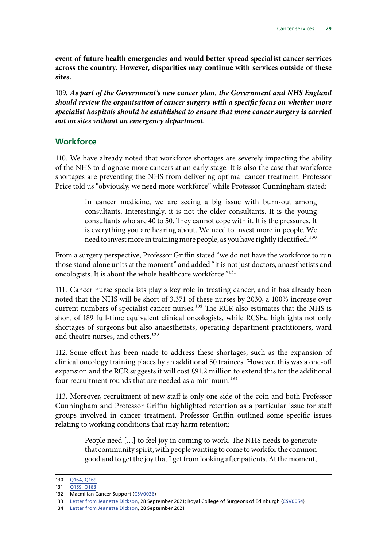<span id="page-30-0"></span>**event of future health emergencies and would better spread specialist cancer services across the country. However, disparities may continue with services outside of these sites.**

109. *As part of the Government's new cancer plan, the Government and NHS England should review the organisation of cancer surgery with a specific focus on whether more specialist hospitals should be established to ensure that more cancer surgery is carried out on sites without an emergency department.*

#### **Workforce**

110. We have already noted that workforce shortages are severely impacting the ability of the NHS to diagnose more cancers at an early stage. It is also the case that workforce shortages are preventing the NHS from delivering optimal cancer treatment. Professor Price told us "obviously, we need more workforce" while Professor Cunningham stated:

> In cancer medicine, we are seeing a big issue with burn-out among consultants. Interestingly, it is not the older consultants. It is the young consultants who are 40 to 50. They cannot cope with it. It is the pressures. It is everything you are hearing about. We need to invest more in people. We need to invest more in training more people, as you have rightly identified.<sup>130</sup>

From a surgery perspective, Professor Griffin stated "we do not have the workforce to run those stand-alone units at the moment" and added "it is not just doctors, anaesthetists and oncologists. It is about the whole healthcare workforce."131

111. Cancer nurse specialists play a key role in treating cancer, and it has already been noted that the NHS will be short of 3,371 of these nurses by 2030, a 100% increase over current numbers of specialist cancer nurses.<sup>132</sup> The RCR also estimates that the NHS is short of 189 full-time equivalent clinical oncologists, while RCSEd highlights not only shortages of surgeons but also anaesthetists, operating department practitioners, ward and theatre nurses, and others.<sup>133</sup>

112. Some effort has been made to address these shortages, such as the expansion of clinical oncology training places by an additional 50 trainees. However, this was a one-off expansion and the RCR suggests it will cost  $\text{\pounds}91.2$  million to extend this for the additional four recruitment rounds that are needed as a minimum.<sup>134</sup>

113. Moreover, recruitment of new staff is only one side of the coin and both Professor Cunningham and Professor Griffin highlighted retention as a particular issue for staff groups involved in cancer treatment. Professor Griffin outlined some specific issues relating to working conditions that may harm retention:

> People need […] to feel joy in coming to work. The NHS needs to generate that community spirit, with people wanting to come to work for the common good and to get the joy that I get from looking after patients. At the moment,

<sup>130</sup> [Q164, Q169](https://committees.parliament.uk/oralevidence/2886/html/)

<sup>131</sup> [Q159, Q163](https://committees.parliament.uk/oralevidence/2886/html/)

<sup>132</sup> Macmillan Cancer Support ([CSV0036\)](https://committees.parliament.uk/writtenevidence/38622/html/)

<sup>133</sup> [Letter from Jeanette Dickson](https://committees.parliament.uk/publications/7519/documents/89303/default/), 28 September 2021; Royal College of Surgeons of Edinburgh [\(CSV0054](https://committees.parliament.uk/writtenevidence/39993/html/))

<sup>134</sup> [Letter from Jeanette Dickson](https://committees.parliament.uk/publications/7519/documents/89303/default/), 28 September 2021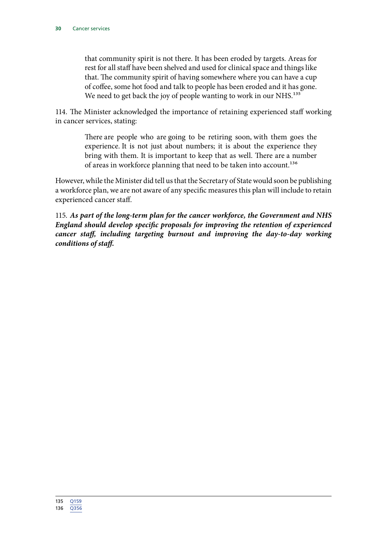that community spirit is not there. It has been eroded by targets. Areas for rest for all staff have been shelved and used for clinical space and things like that. The community spirit of having somewhere where you can have a cup of coffee, some hot food and talk to people has been eroded and it has gone. We need to get back the joy of people wanting to work in our NHS.<sup>135</sup>

114. The Minister acknowledged the importance of retaining experienced staff working in cancer services, stating:

> There are people who are going to be retiring soon, with them goes the experience. It is not just about numbers; it is about the experience they bring with them. It is important to keep that as well. There are a number of areas in workforce planning that need to be taken into account.<sup>136</sup>

However, while the Minister did tell us that the Secretary of State would soon be publishing a workforce plan, we are not aware of any specific measures this plan will include to retain experienced cancer staff.

115. *As part of the long-term plan for the cancer workforce, the Government and NHS England should develop specific proposals for improving the retention of experienced cancer staff, including targeting burnout and improving the day-to-day working conditions of staff.*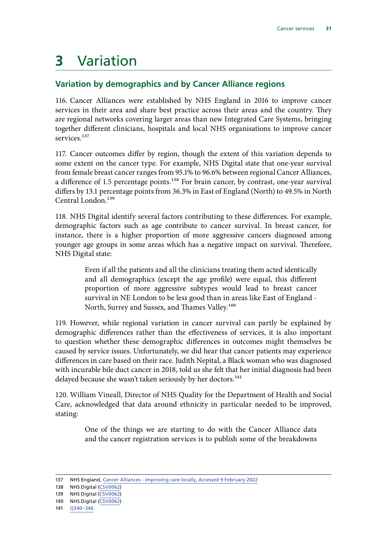## <span id="page-32-0"></span>**3** Variation

### **Variation by demographics and by Cancer Alliance regions**

116. Cancer Alliances were established by NHS England in 2016 to improve cancer services in their area and share best practice across their areas and the country. They are regional networks covering larger areas than new Integrated Care Systems, bringing together different clinicians, hospitals and local NHS organisations to improve cancer services.<sup>137</sup>

117. Cancer outcomes differ by region, though the extent of this variation depends to some extent on the cancer type. For example, NHS Digital state that one-year survival from female breast cancer ranges from 95.1% to 96.6% between regional Cancer Alliances, a difference of 1.5 percentage points.<sup>138</sup> For brain cancer, by contrast, one-year survival differs by 13.1 percentage points from 36.3% in East of England (North) to 49.5% in North Central London.<sup>139</sup>

118. NHS Digital identify several factors contributing to these differences. For example, demographic factors such as age contribute to cancer survival. In breast cancer, for instance, there is a higher proportion of more aggressive cancers diagnosed among younger age groups in some areas which has a negative impact on survival. Therefore, NHS Digital state:

> Even if all the patients and all the clinicians treating them acted identically and all demographics (except the age profile) were equal, this different proportion of more aggressive subtypes would lead to breast cancer survival in NE London to be less good than in areas like East of England - North, Surrey and Sussex, and Thames Valley.<sup>140</sup>

119. However, while regional variation in cancer survival can partly be explained by demographic differences rather than the effectiveness of services, it is also important to question whether these demographic differences in outcomes might themselves be caused by service issues. Unfortunately, we did hear that cancer patients may experience differences in care based on their race. Judith Nepital, a Black woman who was diagnosed with incurable bile duct cancer in 2018, told us she felt that her initial diagnosis had been delayed because she wasn't taken seriously by her doctors.<sup>141</sup>

120. William Vineall, Director of NHS Quality for the Department of Health and Social Care, acknowledged that data around ethnicity in particular needed to be improved, stating:

> One of the things we are starting to do with the Cancer Alliance data and the cancer registration services is to publish some of the breakdowns

137 NHS England, [Cancer Alliances - improving care locally](https://www.england.nhs.uk/cancer/cancer-alliances-improving-care-locally/), Accessed 9 February 2022

<sup>138</sup> NHS Digital [\(CSV0062](https://committees.parliament.uk/writtenevidence/41125/html/))

<sup>139</sup> NHS Digital [\(CSV0062](https://committees.parliament.uk/writtenevidence/41125/html/))

<sup>140</sup> NHS Digital [\(CSV0062](https://committees.parliament.uk/writtenevidence/41125/html/))

<sup>141</sup> [Q340–346](https://committees.parliament.uk/oralevidence/3317/html/)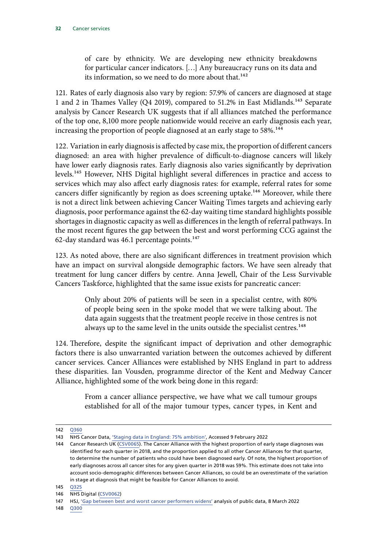of care by ethnicity. We are developing new ethnicity breakdowns for particular cancer indicators. […] Any bureaucracy runs on its data and its information, so we need to do more about that.<sup>142</sup>

121. Rates of early diagnosis also vary by region: 57.9% of cancers are diagnosed at stage 1 and 2 in Thames Valley (Q4 2019), compared to 51.2% in East Midlands.<sup>143</sup> Separate analysis by Cancer Research UK suggests that if all alliances matched the performance of the top one, 8,100 more people nationwide would receive an early diagnosis each year, increasing the proportion of people diagnosed at an early stage to 58%.<sup>144</sup>

122. Variation in early diagnosis is affected by case mix, the proportion of different cancers diagnosed: an area with higher prevalence of difficult-to-diagnose cancers will likely have lower early diagnosis rates. Early diagnosis also varies significantly by deprivation levels.145 However, NHS Digital highlight several differences in practice and access to services which may also affect early diagnosis rates: for example, referral rates for some cancers differ significantly by region as does screening uptake.<sup>146</sup> Moreover, while there is not a direct link between achieving Cancer Waiting Times targets and achieving early diagnosis, poor performance against the 62-day waiting time standard highlights possible shortages in diagnostic capacity as well as differences in the length of referral pathways. In the most recent figures the gap between the best and worst performing CCG against the 62-day standard was  $46.1$  percentage points.<sup>147</sup>

123. As noted above, there are also significant differences in treatment provision which have an impact on survival alongside demographic factors. We have seen already that treatment for lung cancer differs by centre. Anna Jewell, Chair of the Less Survivable Cancers Taskforce, highlighted that the same issue exists for pancreatic cancer:

> Only about 20% of patients will be seen in a specialist centre, with 80% of people being seen in the spoke model that we were talking about. The data again suggests that the treatment people receive in those centres is not always up to the same level in the units outside the specialist centres.<sup>148</sup>

124. Therefore, despite the significant impact of deprivation and other demographic factors there is also unwarranted variation between the outcomes achieved by different cancer services. Cancer Alliances were established by NHS England in part to address these disparities. Ian Vousden, programme director of the Kent and Medway Cancer Alliance, highlighted some of the work being done in this regard:

> From a cancer alliance perspective, we have what we call tumour groups established for all of the major tumour types, cancer types, in Kent and

<sup>142</sup> [Q360](https://committees.parliament.uk/oralevidence/3317/html/)

<sup>143</sup> NHS Cancer Data, ['Staging data in England: 75% ambition',](https://www.cancerdata.nhs.uk/stage_at_diagnosis) Accessed 9 February 2022

<sup>144</sup> Cancer Research UK [\(CSV0065](https://committees.parliament.uk/writtenevidence/106932/html/)). The Cancer Alliance with the highest proportion of early stage diagnoses was identified for each quarter in 2018, and the proportion applied to all other Cancer Alliances for that quarter, to determine the number of patients who could have been diagnosed early. Of note, the highest proportion of early diagnoses across all cancer sites for any given quarter in 2018 was 59%. This estimate does not take into account socio-demographic differences between Cancer Alliances, so could be an overestimate of the variation in stage at diagnosis that might be feasible for Cancer Alliances to avoid.

<sup>146</sup> NHS Digital [\(CSV0062](https://committees.parliament.uk/writtenevidence/41125/html/))

<sup>147</sup> HSJ, ['Gap between best and worst cancer performers widens'](https://www.hsj.co.uk/quality-and-performance/gap-between-best-and-worst-cancer-performers-widens/7031965.article?mkt_tok=OTM2LUZSWi03MTkAAAGDCJiuNidPUwgf7ZZvuhPpiMT6xJh8h1IbwFpBXiMCifXhEUwTq5hW9rP4m789TWEExeBV2Y3Y6bYCIc9zSm1oaZCXcrY6ifFyWDG8wpuU7LW4WQ) analysis of public data, 8 March 2022

<sup>148</sup> [Q300](https://committees.parliament.uk/oralevidence/2982/html/)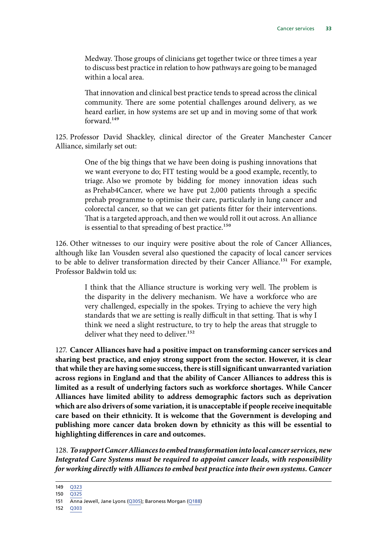Medway. Those groups of clinicians get together twice or three times a year to discuss best practice in relation to how pathways are going to be managed within a local area.

That innovation and clinical best practice tends to spread across the clinical community. There are some potential challenges around delivery, as we heard earlier, in how systems are set up and in moving some of that work forward.149

125. Professor David Shackley, clinical director of the Greater Manchester Cancer Alliance, similarly set out:

> One of the big things that we have been doing is pushing innovations that we want everyone to do; FIT testing would be a good example, recently, to triage. Also we promote by bidding for money innovation ideas such as Prehab4Cancer, where we have put 2,000 patients through a specific prehab programme to optimise their care, particularly in lung cancer and colorectal cancer, so that we can get patients fitter for their interventions. That is a targeted approach, and then we would roll it out across. An alliance is essential to that spreading of best practice.<sup>150</sup>

126. Other witnesses to our inquiry were positive about the role of Cancer Alliances, although like Ian Vousden several also questioned the capacity of local cancer services to be able to deliver transformation directed by their Cancer Alliance.<sup>151</sup> For example, Professor Baldwin told us:

> I think that the Alliance structure is working very well. The problem is the disparity in the delivery mechanism. We have a workforce who are very challenged, especially in the spokes. Trying to achieve the very high standards that we are setting is really difficult in that setting. That is why I think we need a slight restructure, to try to help the areas that struggle to deliver what they need to deliver.<sup>152</sup>

127. **Cancer Alliances have had a positive impact on transforming cancer services and sharing best practice, and enjoy strong support from the sector. However, it is clear that while they are having some success, there is still significant unwarranted variation across regions in England and that the ability of Cancer Alliances to address this is limited as a result of underlying factors such as workforce shortages. While Cancer Alliances have limited ability to address demographic factors such as deprivation which are also drivers of some variation, it is unacceptable if people receive inequitable care based on their ethnicity. It is welcome that the Government is developing and publishing more cancer data broken down by ethnicity as this will be essential to highlighting differences in care and outcomes.**

128. *To support Cancer Alliances to embed transformation into local cancer services, new Integrated Care Systems must be required to appoint cancer leads, with responsibility for working directly with Alliances to embed best practice into their own systems. Cancer* 

149 [Q323](https://committees.parliament.uk/oralevidence/2982/html/)

<sup>150</sup> [Q325](https://committees.parliament.uk/oralevidence/2982/html/)

<sup>151</sup> Anna Jewell, Jane Lyons ([Q305\)](https://committees.parliament.uk/oralevidence/2982/html/); Baroness Morgan [\(Q188](https://committees.parliament.uk/oralevidence/2886/html/))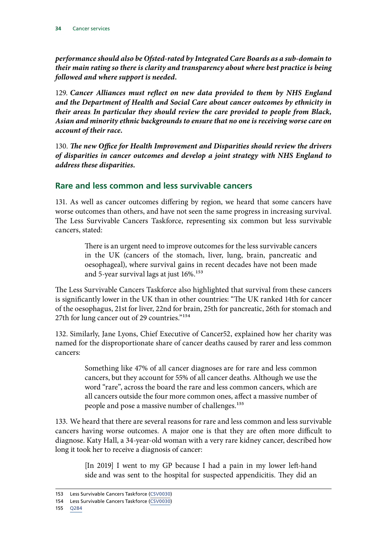<span id="page-35-0"></span>*performance should also be Ofsted-rated by Integrated Care Boards as a sub-domain to their main rating so there is clarity and transparency about where best practice is being followed and where support is needed.*

129. *Cancer Alliances must reflect on new data provided to them by NHS England and the Department of Health and Social Care about cancer outcomes by ethnicity in their areas*. *In particular they should review the care provided to people from Black, Asian and minority ethnic backgrounds to ensure that no one is receiving worse care on account of their race.*

130. *The new Office for Health Improvement and Disparities should review the drivers of disparities in cancer outcomes and develop a joint strategy with NHS England to address these disparities.*

#### **Rare and less common and less survivable cancers**

131. As well as cancer outcomes differing by region, we heard that some cancers have worse outcomes than others, and have not seen the same progress in increasing survival. The Less Survivable Cancers Taskforce, representing six common but less survivable cancers, stated:

> There is an urgent need to improve outcomes for the less survivable cancers in the UK (cancers of the stomach, liver, lung, brain, pancreatic and oesophageal), where survival gains in recent decades have not been made and 5-year survival lags at just 16%.<sup>153</sup>

The Less Survivable Cancers Taskforce also highlighted that survival from these cancers is significantly lower in the UK than in other countries: "The UK ranked 14th for cancer of the oesophagus, 21st for liver, 22nd for brain, 25th for pancreatic, 26th for stomach and 27th for lung cancer out of 29 countries."<sup>154</sup>

132. Similarly, Jane Lyons, Chief Executive of Cancer52, explained how her charity was named for the disproportionate share of cancer deaths caused by rarer and less common cancers:

> Something like 47% of all cancer diagnoses are for rare and less common cancers, but they account for 55% of all cancer deaths. Although we use the word "rare", across the board the rare and less common cancers, which are all cancers outside the four more common ones, affect a massive number of people and pose a massive number of challenges.<sup>155</sup>

133. We heard that there are several reasons for rare and less common and less survivable cancers having worse outcomes. A major one is that they are often more difficult to diagnose. Katy Hall, a 34-year-old woman with a very rare kidney cancer, described how long it took her to receive a diagnosis of cancer:

> [In 2019] I went to my GP because I had a pain in my lower left-hand side and was sent to the hospital for suspected appendicitis. They did an

<sup>153</sup> Less Survivable Cancers Taskforce [\(CSV0030](https://committees.parliament.uk/writtenevidence/38584/html/))

<sup>154</sup> Less Survivable Cancers Taskforce [\(CSV0030](https://committees.parliament.uk/writtenevidence/38584/html/))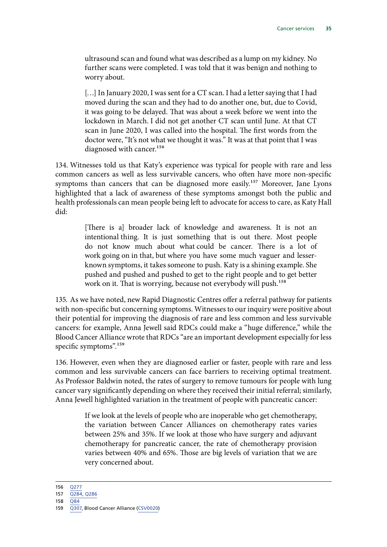ultrasound scan and found what was described as a lump on my kidney. No further scans were completed. I was told that it was benign and nothing to worry about.

[...] In January 2020, I was sent for a CT scan. I had a letter saying that I had moved during the scan and they had to do another one, but, due to Covid, it was going to be delayed. That was about a week before we went into the lockdown in March. I did not get another CT scan until June. At that CT scan in June 2020, I was called into the hospital. The first words from the doctor were, "It's not what we thought it was." It was at that point that I was diagnosed with cancer.<sup>156</sup>

134. Witnesses told us that Katy's experience was typical for people with rare and less common cancers as well as less survivable cancers, who often have more non-specific symptoms than cancers that can be diagnosed more easily.<sup>157</sup> Moreover, Jane Lyons highlighted that a lack of awareness of these symptoms amongst both the public and health professionals can mean people being left to advocate for access to care, as Katy Hall did:

> [There is a] broader lack of knowledge and awareness. It is not an intentional thing. It is just something that is out there. Most people do not know much about what could be cancer. There is a lot of work going on in that, but where you have some much vaguer and lesserknown symptoms, it takes someone to push. Katy is a shining example. She pushed and pushed and pushed to get to the right people and to get better work on it. That is worrying, because not everybody will push.<sup>158</sup>

135. As we have noted, new Rapid Diagnostic Centres offer a referral pathway for patients with non-specific but concerning symptoms. Witnesses to our inquiry were positive about their potential for improving the diagnosis of rare and less common and less survivable cancers: for example, Anna Jewell said RDCs could make a "huge difference," while the Blood Cancer Alliance wrote that RDCs "are an important development especially for less specific symptoms".<sup>159</sup>

136. However, even when they are diagnosed earlier or faster, people with rare and less common and less survivable cancers can face barriers to receiving optimal treatment. As Professor Baldwin noted, the rates of surgery to remove tumours for people with lung cancer vary significantly depending on where they received their initial referral; similarly, Anna Jewell highlighted variation in the treatment of people with pancreatic cancer:

> If we look at the levels of people who are inoperable who get chemotherapy, the variation between Cancer Alliances on chemotherapy rates varies between 25% and 35%. If we look at those who have surgery and adjuvant chemotherapy for pancreatic cancer, the rate of chemotherapy provision varies between 40% and 65%. Those are big levels of variation that we are very concerned about.

<sup>156</sup> [Q277](https://committees.parliament.uk/oralevidence/2982/html/)

<sup>157</sup> [Q284, Q286](https://committees.parliament.uk/oralevidence/2982/html/)

<sup>159</sup> [Q307,](https://committees.parliament.uk/oralevidence/2982/html/) Blood Cancer Alliance [\(CSV0020](https://committees.parliament.uk/writtenevidence/38538/html/)))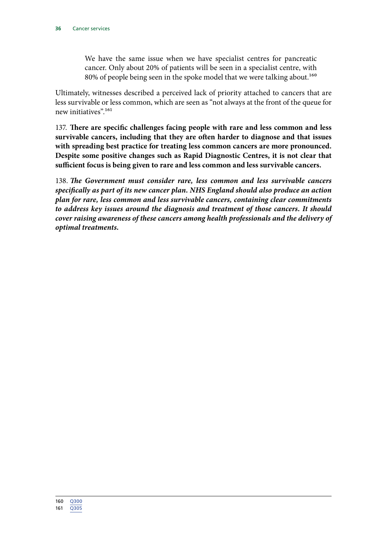We have the same issue when we have specialist centres for pancreatic cancer. Only about 20% of patients will be seen in a specialist centre, with 80% of people being seen in the spoke model that we were talking about.<sup>160</sup>

Ultimately, witnesses described a perceived lack of priority attached to cancers that are less survivable or less common, which are seen as "not always at the front of the queue for new initiatives".161

137. **There are specific challenges facing people with rare and less common and less survivable cancers, including that they are often harder to diagnose and that issues with spreading best practice for treating less common cancers are more pronounced. Despite some positive changes such as Rapid Diagnostic Centres, it is not clear that sufficient focus is being given to rare and less common and less survivable cancers.**

138. *The Government must consider rare, less common and less survivable cancers specifically as part of its new cancer plan. NHS England should also produce an action plan for rare, less common and less survivable cancers, containing clear commitments to address key issues around the diagnosis and treatment of those cancers. It should cover raising awareness of these cancers among health professionals and the delivery of optimal treatments.*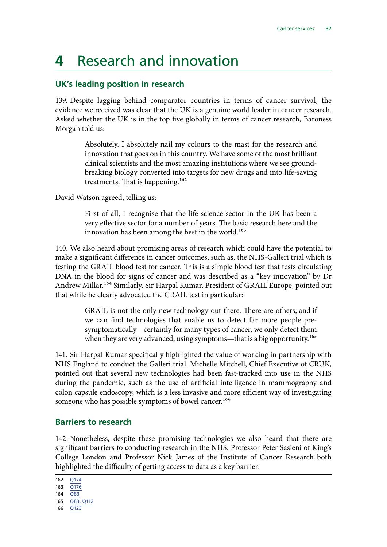## <span id="page-38-0"></span>**4** Research and innovation

### **UK's leading position in research**

139. Despite lagging behind comparator countries in terms of cancer survival, the evidence we received was clear that the UK is a genuine world leader in cancer research. Asked whether the UK is in the top five globally in terms of cancer research, Baroness Morgan told us:

> Absolutely. I absolutely nail my colours to the mast for the research and innovation that goes on in this country. We have some of the most brilliant clinical scientists and the most amazing institutions where we see groundbreaking biology converted into targets for new drugs and into life-saving treatments. That is happening.<sup>162</sup>

David Watson agreed, telling us:

First of all, I recognise that the life science sector in the UK has been a very effective sector for a number of years. The basic research here and the innovation has been among the best in the world.<sup>163</sup>

140. We also heard about promising areas of research which could have the potential to make a significant difference in cancer outcomes, such as, the NHS-Galleri trial which is testing the GRAIL blood test for cancer. This is a simple blood test that tests circulating DNA in the blood for signs of cancer and was described as a "key innovation" by Dr Andrew Millar.164 Similarly, Sir Harpal Kumar, President of GRAIL Europe, pointed out that while he clearly advocated the GRAIL test in particular:

> GRAIL is not the only new technology out there. There are others, and if we can find technologies that enable us to detect far more people presymptomatically—certainly for many types of cancer, we only detect them when they are very advanced, using symptoms—that is a big opportunity.<sup>165</sup>

141. Sir Harpal Kumar specifically highlighted the value of working in partnership with NHS England to conduct the Galleri trial. Michelle Mitchell, Chief Executive of CRUK, pointed out that several new technologies had been fast-tracked into use in the NHS during the pandemic, such as the use of artificial intelligence in mammography and colon capsule endoscopy, which is a less invasive and more efficient way of investigating someone who has possible symptoms of bowel cancer.<sup>166</sup>

### **Barriers to research**

142. Nonetheless, despite these promising technologies we also heard that there are significant barriers to conducting research in the NHS. Professor Peter Sasieni of King's College London and Professor Nick James of the Institute of Cancer Research both highlighted the difficulty of getting access to data as a key barrier:

162 [Q174](https://committees.parliament.uk/oralevidence/2886/html/) 163  $\overline{O176}$ 

164 [Q83](https://committees.parliament.uk/oralevidence/2855/html/)

165 [Q83, Q112](https://committees.parliament.uk/oralevidence/2855/html/)

<sup>166</sup> [Q123](https://committees.parliament.uk/oralevidence/2855/html/)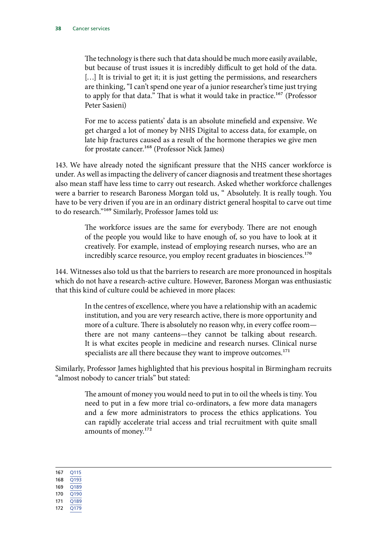The technology is there such that data should be much more easily available, but because of trust issues it is incredibly difficult to get hold of the data. [...] It is trivial to get it; it is just getting the permissions, and researchers are thinking, "I can't spend one year of a junior researcher's time just trying to apply for that data." That is what it would take in practice.<sup>167</sup> (Professor Peter Sasieni)

For me to access patients' data is an absolute minefield and expensive. We get charged a lot of money by NHS Digital to access data, for example, on late hip fractures caused as a result of the hormone therapies we give men for prostate cancer.<sup>168</sup> (Professor Nick James)

143. We have already noted the significant pressure that the NHS cancer workforce is under. As well as impacting the delivery of cancer diagnosis and treatment these shortages also mean staff have less time to carry out research. Asked whether workforce challenges were a barrier to research Baroness Morgan told us, " Absolutely. It is really tough. You have to be very driven if you are in an ordinary district general hospital to carve out time to do research."169 Similarly, Professor James told us:

> The workforce issues are the same for everybody. There are not enough of the people you would like to have enough of, so you have to look at it creatively. For example, instead of employing research nurses, who are an incredibly scarce resource, you employ recent graduates in biosciences.<sup>170</sup>

144. Witnesses also told us that the barriers to research are more pronounced in hospitals which do not have a research-active culture. However, Baroness Morgan was enthusiastic that this kind of culture could be achieved in more places:

> In the centres of excellence, where you have a relationship with an academic institution, and you are very research active, there is more opportunity and more of a culture. There is absolutely no reason why, in every coffee room there are not many canteens—they cannot be talking about research. It is what excites people in medicine and research nurses. Clinical nurse specialists are all there because they want to improve outcomes. $^{171}$

Similarly, Professor James highlighted that his previous hospital in Birmingham recruits "almost nobody to cancer trials" but stated:

> The amount of money you would need to put in to oil the wheels is tiny. You need to put in a few more trial co-ordinators, a few more data managers and a few more administrators to process the ethics applications. You can rapidly accelerate trial access and trial recruitment with quite small amounts of money.<sup>172</sup>

167 [Q115](https://committees.parliament.uk/oralevidence/2855/html/) 168 [Q193](https://committees.parliament.uk/oralevidence/2886/html/) 169 [Q189](https://committees.parliament.uk/oralevidence/2886/html/) 170 [Q190](https://committees.parliament.uk/oralevidence/2886/html/) 171 [Q189](https://committees.parliament.uk/oralevidence/2886/html/)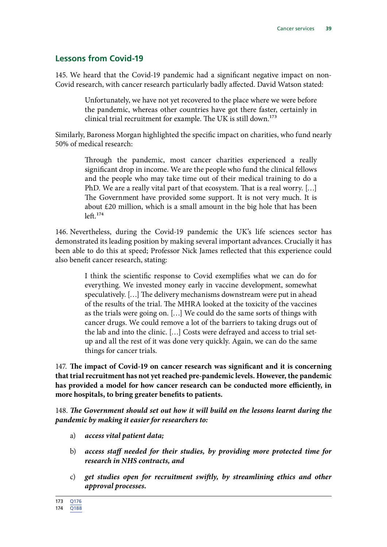#### <span id="page-40-0"></span>**Lessons from Covid-19**

145. We heard that the Covid-19 pandemic had a significant negative impact on non-Covid research, with cancer research particularly badly affected. David Watson stated:

> Unfortunately, we have not yet recovered to the place where we were before the pandemic, whereas other countries have got there faster, certainly in clinical trial recruitment for example. The UK is still down.<sup>173</sup>

Similarly, Baroness Morgan highlighted the specific impact on charities, who fund nearly 50% of medical research:

> Through the pandemic, most cancer charities experienced a really significant drop in income. We are the people who fund the clinical fellows and the people who may take time out of their medical training to do a PhD. We are a really vital part of that ecosystem. That is a real worry. […] The Government have provided some support. It is not very much. It is about £20 million, which is a small amount in the big hole that has been  $left.174$

146. Nevertheless, during the Covid-19 pandemic the UK's life sciences sector has demonstrated its leading position by making several important advances. Crucially it has been able to do this at speed; Professor Nick James reflected that this experience could also benefit cancer research, stating:

> I think the scientific response to Covid exemplifies what we can do for everything. We invested money early in vaccine development, somewhat speculatively. […] The delivery mechanisms downstream were put in ahead of the results of the trial. The MHRA looked at the toxicity of the vaccines as the trials were going on. […] We could do the same sorts of things with cancer drugs. We could remove a lot of the barriers to taking drugs out of the lab and into the clinic. […] Costs were defrayed and access to trial setup and all the rest of it was done very quickly. Again, we can do the same things for cancer trials.

147. **The impact of Covid-19 on cancer research was significant and it is concerning that trial recruitment has not yet reached pre-pandemic levels. However, the pandemic has provided a model for how cancer research can be conducted more efficiently, in more hospitals, to bring greater benefits to patients.**

148. *The Government should set out how it will build on the lessons learnt during the pandemic by making it easier for researchers to:*

- a) *access vital patient data;*
- b) *access staff needed for their studies, by providing more protected time for research in NHS contracts, and*
- c) *get studies open for recruitment swiftly, by streamlining ethics and other approval processes.*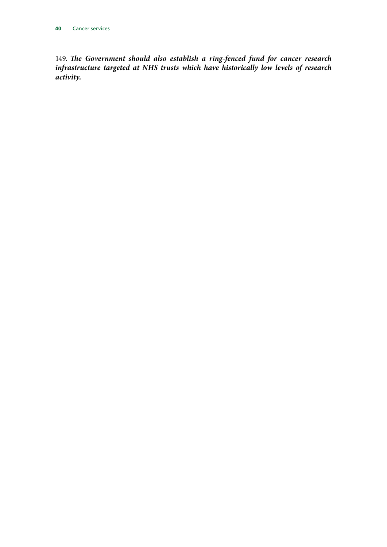149. *The Government should also establish a ring-fenced fund for cancer research infrastructure targeted at NHS trusts which have historically low levels of research activity.*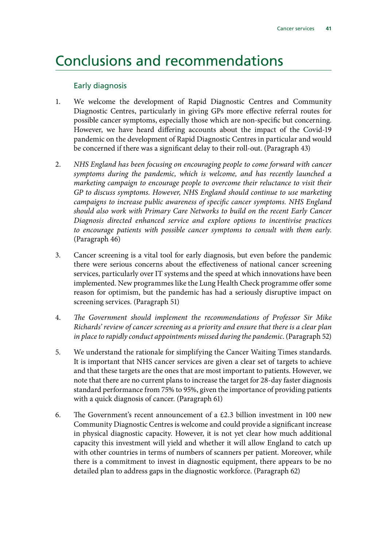### <span id="page-42-0"></span>Conclusions and recommendations

#### Early diagnosis

- 1. We welcome the development of Rapid Diagnostic Centres and Community Diagnostic Centres, particularly in giving GPs more effective referral routes for possible cancer symptoms, especially those which are non-specific but concerning. However, we have heard differing accounts about the impact of the Covid-19 pandemic on the development of Rapid Diagnostic Centres in particular and would be concerned if there was a significant delay to their roll-out. (Paragraph 43)
- 2. *NHS England has been focusing on encouraging people to come forward with cancer symptoms during the pandemic, which is welcome, and has recently launched a marketing campaign to encourage people to overcome their reluctance to visit their GP to discuss symptoms. However, NHS England should continue to use marketing campaigns to increase public awareness of specific cancer symptoms. NHS England should also work with Primary Care Networks to build on the recent Early Cancer Diagnosis directed enhanced service and explore options to incentivise practices to encourage patients with possible cancer symptoms to consult with them early*. (Paragraph 46)
- 3. Cancer screening is a vital tool for early diagnosis, but even before the pandemic there were serious concerns about the effectiveness of national cancer screening services, particularly over IT systems and the speed at which innovations have been implemented. New programmes like the Lung Health Check programme offer some reason for optimism, but the pandemic has had a seriously disruptive impact on screening services. (Paragraph 51)
- 4. *The Government should implement the recommendations of Professor Sir Mike Richards' review of cancer screening as a priority and ensure that there is a clear plan in place to rapidly conduct appointments missed during the pandemic*. (Paragraph 52)
- 5. We understand the rationale for simplifying the Cancer Waiting Times standards. It is important that NHS cancer services are given a clear set of targets to achieve and that these targets are the ones that are most important to patients. However, we note that there are no current plans to increase the target for 28-day faster diagnosis standard performance from 75% to 95%, given the importance of providing patients with a quick diagnosis of cancer. (Paragraph 61)
- 6. The Government's recent announcement of a  $£2.3$  billion investment in 100 new Community Diagnostic Centres is welcome and could provide a significant increase in physical diagnostic capacity. However, it is not yet clear how much additional capacity this investment will yield and whether it will allow England to catch up with other countries in terms of numbers of scanners per patient. Moreover, while there is a commitment to invest in diagnostic equipment, there appears to be no detailed plan to address gaps in the diagnostic workforce. (Paragraph 62)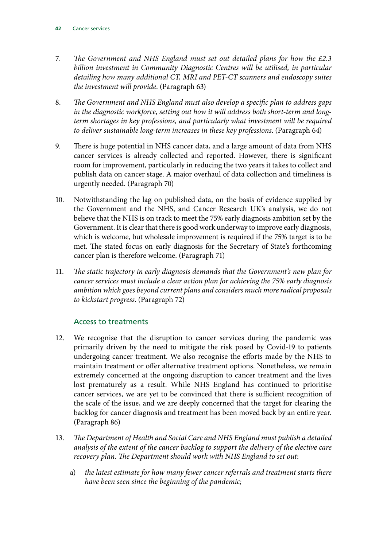- 7. *The Government and NHS England must set out detailed plans for how the £2.3 billion investment in Community Diagnostic Centres will be utilised, in particular detailing how many additional CT, MRI and PET-CT scanners and endoscopy suites the investment will provide*. (Paragraph 63)
- 8. *The Government and NHS England must also develop a specific plan to address gaps in the diagnostic workforce, setting out how it will address both short-term and longterm shortages in key professions, and particularly what investment will be required to deliver sustainable long-term increases in these key professions*. (Paragraph 64)
- 9. There is huge potential in NHS cancer data, and a large amount of data from NHS cancer services is already collected and reported. However, there is significant room for improvement, particularly in reducing the two years it takes to collect and publish data on cancer stage. A major overhaul of data collection and timeliness is urgently needed. (Paragraph 70)
- 10. Notwithstanding the lag on published data, on the basis of evidence supplied by the Government and the NHS, and Cancer Research UK's analysis, we do not believe that the NHS is on track to meet the 75% early diagnosis ambition set by the Government. It is clear that there is good work underway to improve early diagnosis, which is welcome, but wholesale improvement is required if the 75% target is to be met. The stated focus on early diagnosis for the Secretary of State's forthcoming cancer plan is therefore welcome. (Paragraph 71)
- 11. *The static trajectory in early diagnosis demands that the Government's new plan for cancer services must include a clear action plan for achieving the 75% early diagnosis ambition which goes beyond current plans and considers much more radical proposals to kickstart progress*. (Paragraph 72)

#### Access to treatments

- 12. We recognise that the disruption to cancer services during the pandemic was primarily driven by the need to mitigate the risk posed by Covid-19 to patients undergoing cancer treatment. We also recognise the efforts made by the NHS to maintain treatment or offer alternative treatment options. Nonetheless, we remain extremely concerned at the ongoing disruption to cancer treatment and the lives lost prematurely as a result. While NHS England has continued to prioritise cancer services, we are yet to be convinced that there is sufficient recognition of the scale of the issue, and we are deeply concerned that the target for clearing the backlog for cancer diagnosis and treatment has been moved back by an entire year. (Paragraph 86)
- 13. *The Department of Health and Social Care and NHS England must publish a detailed analysis of the extent of the cancer backlog to support the delivery of the elective care recovery plan. The Department should work with NHS England to set out*:
	- a) *the latest estimate for how many fewer cancer referrals and treatment starts there have been seen since the beginning of the pandemic;*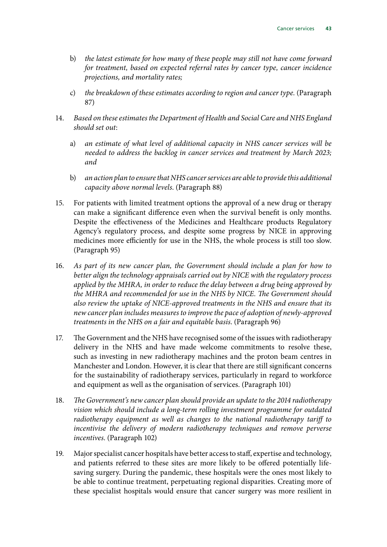- b) *the latest estimate for how many of these people may still not have come forward for treatment, based on expected referral rates by cancer type, cancer incidence projections, and mortality rates;*
- c) *the breakdown of these estimates according to region and cancer type.* (Paragraph 87)
- 14. *Based on these estimates the Department of Health and Social Care and NHS England should set out*:
	- a) *an estimate of what level of additional capacity in NHS cancer services will be needed to address the backlog in cancer services and treatment by March 2023; and*
	- b) *an action plan to ensure that NHS cancer services are able to provide this additional capacity above normal levels*. (Paragraph 88)
- 15. For patients with limited treatment options the approval of a new drug or therapy can make a significant difference even when the survival benefit is only months. Despite the effectiveness of the Medicines and Healthcare products Regulatory Agency's regulatory process, and despite some progress by NICE in approving medicines more efficiently for use in the NHS, the whole process is still too slow. (Paragraph 95)
- 16. *As part of its new cancer plan, the Government should include a plan for how to better align the technology appraisals carried out by NICE with the regulatory process applied by the MHRA, in order to reduce the delay between a drug being approved by the MHRA and recommended for use in the NHS by NICE. The Government should also review the uptake of NICE-approved treatments in the NHS and ensure that its new cancer plan includes measures to improve the pace of adoption of newly-approved treatments in the NHS on a fair and equitable basis*. (Paragraph 96)
- 17. The Government and the NHS have recognised some of the issues with radiotherapy delivery in the NHS and have made welcome commitments to resolve these, such as investing in new radiotherapy machines and the proton beam centres in Manchester and London. However, it is clear that there are still significant concerns for the sustainability of radiotherapy services, particularly in regard to workforce and equipment as well as the organisation of services. (Paragraph 101)
- 18. *The Government's new cancer plan should provide an update to the 2014 radiotherapy vision which should include a long-term rolling investment programme for outdated radiotherapy equipment as well as changes to the national radiotherapy tariff to incentivise the delivery of modern radiotherapy techniques and remove perverse incentives*. (Paragraph 102)
- 19. Major specialist cancer hospitals have better access to staff, expertise and technology, and patients referred to these sites are more likely to be offered potentially lifesaving surgery. During the pandemic, these hospitals were the ones most likely to be able to continue treatment, perpetuating regional disparities. Creating more of these specialist hospitals would ensure that cancer surgery was more resilient in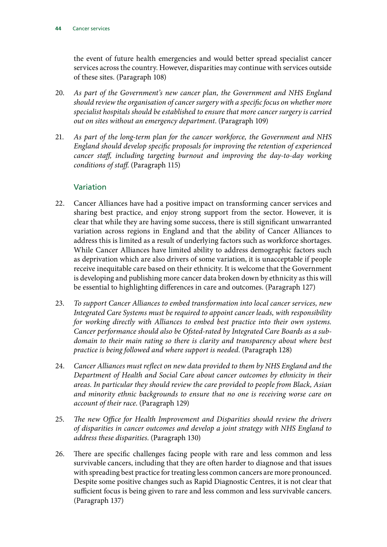the event of future health emergencies and would better spread specialist cancer services across the country. However, disparities may continue with services outside of these sites. (Paragraph 108)

- 20. *As part of the Government's new cancer plan, the Government and NHS England should review the organisation of cancer surgery with a specific focus on whether more specialist hospitals should be established to ensure that more cancer surgery is carried out on sites without an emergency department*. (Paragraph 109)
- 21. *As part of the long-term plan for the cancer workforce, the Government and NHS England should develop specific proposals for improving the retention of experienced cancer staff, including targeting burnout and improving the day-to-day working conditions of staff*. (Paragraph 115)

#### Variation

- 22. Cancer Alliances have had a positive impact on transforming cancer services and sharing best practice, and enjoy strong support from the sector. However, it is clear that while they are having some success, there is still significant unwarranted variation across regions in England and that the ability of Cancer Alliances to address this is limited as a result of underlying factors such as workforce shortages. While Cancer Alliances have limited ability to address demographic factors such as deprivation which are also drivers of some variation, it is unacceptable if people receive inequitable care based on their ethnicity. It is welcome that the Government is developing and publishing more cancer data broken down by ethnicity as this will be essential to highlighting differences in care and outcomes. (Paragraph 127)
- 23. *To support Cancer Alliances to embed transformation into local cancer services, new Integrated Care Systems must be required to appoint cancer leads, with responsibility for working directly with Alliances to embed best practice into their own systems. Cancer performance should also be Ofsted-rated by Integrated Care Boards as a subdomain to their main rating so there is clarity and transparency about where best practice is being followed and where support is needed*. (Paragraph 128)
- 24. *Cancer Alliances must reflect on new data provided to them by NHS England and the Department of Health and Social Care about cancer outcomes by ethnicity in their areas. In particular they should review the care provided to people from Black, Asian and minority ethnic backgrounds to ensure that no one is receiving worse care on account of their race*. (Paragraph 129)
- 25. *The new Office for Health Improvement and Disparities should review the drivers of disparities in cancer outcomes and develop a joint strategy with NHS England to address these disparities*. (Paragraph 130)
- 26. There are specific challenges facing people with rare and less common and less survivable cancers, including that they are often harder to diagnose and that issues with spreading best practice for treating less common cancers are more pronounced. Despite some positive changes such as Rapid Diagnostic Centres, it is not clear that sufficient focus is being given to rare and less common and less survivable cancers. (Paragraph 137)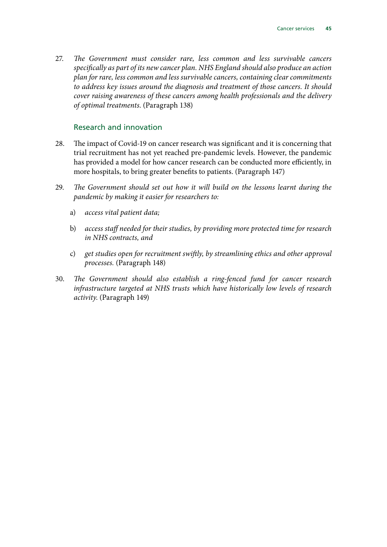27. *The Government must consider rare, less common and less survivable cancers specifically as part of its new cancer plan. NHS England should also produce an action plan for rare, less common and less survivable cancers, containing clear commitments to address key issues around the diagnosis and treatment of those cancers. It should cover raising awareness of these cancers among health professionals and the delivery of optimal treatments*. (Paragraph 138)

#### Research and innovation

- 28. The impact of Covid-19 on cancer research was significant and it is concerning that trial recruitment has not yet reached pre-pandemic levels. However, the pandemic has provided a model for how cancer research can be conducted more efficiently, in more hospitals, to bring greater benefits to patients. (Paragraph 147)
- 29. *The Government should set out how it will build on the lessons learnt during the pandemic by making it easier for researchers to:*
	- a) *access vital patient data;*
	- b) *access staff needed for their studies, by providing more protected time for research in NHS contracts, and*
	- c) *get studies open for recruitment swiftly, by streamlining ethics and other approval processes.* (Paragraph 148)
- 30. *The Government should also establish a ring-fenced fund for cancer research infrastructure targeted at NHS trusts which have historically low levels of research activity*. (Paragraph 149)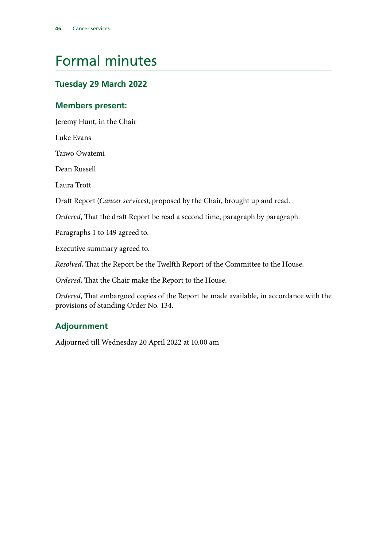## <span id="page-47-0"></span>Formal minutes

### **Tuesday 29 March 2022**

### **Members present:**

Jeremy Hunt, in the Chair

Luke Evans

Taiwo Owatemi

Dean Russell

Laura Trott

Draft Report (*Cancer services*), proposed by the Chair, brought up and read.

*Ordered*, That the draft Report be read a second time, paragraph by paragraph.

Paragraphs 1 to 149 agreed to.

Executive summary agreed to.

*Resolved*, That the Report be the Twelfth Report of the Committee to the House.

*Ordered*, That the Chair make the Report to the House.

*Ordered*, That embargoed copies of the Report be made available, in accordance with the provisions of Standing Order No. 134.

### **Adjournment**

Adjourned till Wednesday 20 April 2022 at 10.00 am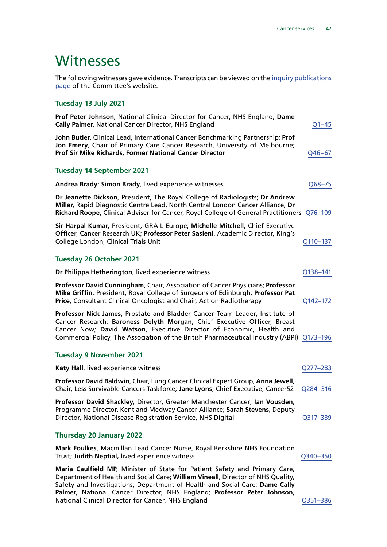### <span id="page-48-0"></span>**Witnesses**

The following witnesses gave evidence. Transcripts can be viewed on the [inquiry publications](https://committees.parliament.uk/work/1377/default/publications/oral-evidence/) [page](https://committees.parliament.uk/work/1377/default/publications/oral-evidence/) of the Committee's website.

#### **Tuesday 13 July 2021**

| Prof Peter Johnson, National Clinical Director for Cancer, NHS England; Dame<br>Cally Palmer, National Cancer Director, NHS England                                                                                                                                                                                                                                           | $Q1 - 45$ |
|-------------------------------------------------------------------------------------------------------------------------------------------------------------------------------------------------------------------------------------------------------------------------------------------------------------------------------------------------------------------------------|-----------|
| John Butler, Clinical Lead, International Cancer Benchmarking Partnership; Prof<br>Jon Emery, Chair of Primary Care Cancer Research, University of Melbourne;<br>Prof Sir Mike Richards, Former National Cancer Director                                                                                                                                                      | Q46-67    |
| <b>Tuesday 14 September 2021</b>                                                                                                                                                                                                                                                                                                                                              |           |
| Andrea Brady; Simon Brady, lived experience witnesses                                                                                                                                                                                                                                                                                                                         | Q68-75    |
| Dr Jeanette Dickson, President, The Royal College of Radiologists; Dr Andrew<br>Millar, Rapid Diagnostic Centre Lead, North Central London Cancer Alliance; Dr<br>Richard Roope, Clinical Adviser for Cancer, Royal College of General Practitioners Q76-109                                                                                                                  |           |
| Sir Harpal Kumar, President, GRAIL Europe; Michelle Mitchell, Chief Executive<br>Officer, Cancer Research UK; Professor Peter Sasieni, Academic Director, King's<br>College London, Clinical Trials Unit                                                                                                                                                                      | Q110-137  |
| <b>Tuesday 26 October 2021</b>                                                                                                                                                                                                                                                                                                                                                |           |
| Dr Philippa Hetherington, lived experience witness                                                                                                                                                                                                                                                                                                                            | Q138-141  |
| Professor David Cunningham, Chair, Association of Cancer Physicians; Professor<br>Mike Griffin, President, Royal College of Surgeons of Edinburgh; Professor Pat<br>Price, Consultant Clinical Oncologist and Chair, Action Radiotherapy                                                                                                                                      | Q142-172  |
| Professor Nick James, Prostate and Bladder Cancer Team Leader, Institute of<br>Cancer Research; Baroness Delyth Morgan, Chief Executive Officer, Breast<br>Cancer Now; David Watson, Executive Director of Economic, Health and<br>Commercial Policy, The Association of the British Pharmaceutical Industry (ABPI) Q173-196                                                  |           |
| <b>Tuesday 9 November 2021</b>                                                                                                                                                                                                                                                                                                                                                |           |
| Katy Hall, lived experience witness                                                                                                                                                                                                                                                                                                                                           | Q277-283  |
| Professor David Baldwin, Chair, Lung Cancer Clinical Expert Group; Anna Jewell,<br>Chair, Less Survivable Cancers Taskforce; Jane Lyons, Chief Executive, Cancer52                                                                                                                                                                                                            | Q284-316  |
| Professor David Shackley, Director, Greater Manchester Cancer; Ian Vousden,<br>Programme Director, Kent and Medway Cancer Alliance; Sarah Stevens, Deputy<br>Director, National Disease Registration Service, NHS Digital                                                                                                                                                     | Q317-339  |
| <b>Thursday 20 January 2022</b>                                                                                                                                                                                                                                                                                                                                               |           |
| Mark Foulkes, Macmillan Lead Cancer Nurse, Royal Berkshire NHS Foundation<br>Trust; Judith Neptial, lived experience witness                                                                                                                                                                                                                                                  | Q340-350  |
| Maria Caulfield MP, Minister of State for Patient Safety and Primary Care,<br>Department of Health and Social Care; William Vineall, Director of NHS Quality,<br>Safety and Investigations, Department of Health and Social Care; Dame Cally<br>Palmer, National Cancer Director, NHS England; Professor Peter Johnson,<br>National Clinical Director for Cancer, NHS England | Q351-386  |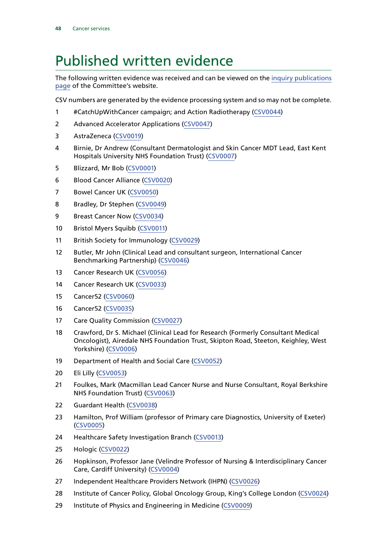### <span id="page-49-0"></span>Published written evidence

The following written evidence was received and can be viewed on the [inquiry publications](https://committees.parliament.uk/work/1377/default/publications/written-evidence/) [page](https://committees.parliament.uk/work/1377/default/publications/written-evidence/) of the Committee's website.

CSV numbers are generated by the evidence processing system and so may not be complete.

- #CatchUpWithCancer campaign; and Action Radiotherapy ([CSV0044\)](https://committees.parliament.uk/writtenevidence/38705/html/)
- Advanced Accelerator Applications ([CSV0047\)](https://committees.parliament.uk/writtenevidence/38824/html/)
- AstraZeneca [\(CSV0019](https://committees.parliament.uk/writtenevidence/38534/html/))
- Birnie, Dr Andrew (Consultant Dermatologist and Skin Cancer MDT Lead, East Kent Hospitals University NHS Foundation Trust) [\(CSV0007\)](https://committees.parliament.uk/writtenevidence/38139/html/)
- Blizzard, Mr Bob ([CSV0001\)](https://committees.parliament.uk/writtenevidence/37814/default/)
- Blood Cancer Alliance [\(CSV0020\)](https://committees.parliament.uk/writtenevidence/38538/html/)
- Bowel Cancer UK ([CSV0050](https://committees.parliament.uk/writtenevidence/38852/html/))
- Bradley, Dr Stephen [\(CSV0049\)](https://committees.parliament.uk/writtenevidence/38850/html/)
- Breast Cancer Now ([CSV0034](https://committees.parliament.uk/writtenevidence/38599/html/))
- Bristol Myers Squibb [\(CSV0011](https://committees.parliament.uk/writtenevidence/38483/html/))
- British Society for Immunology ([CSV0029](https://committees.parliament.uk/writtenevidence/38583/html/))
- Butler, Mr John (Clinical Lead and consultant surgeon, International Cancer Benchmarking Partnership) ([CSV0046\)](https://committees.parliament.uk/writtenevidence/38715/html/)
- Cancer Research UK [\(CSV0056\)](https://committees.parliament.uk/writtenevidence/40665/html/)
- Cancer Research UK [\(CSV0033](https://committees.parliament.uk/writtenevidence/38590/html/))
- Cancer52 [\(CSV0060](https://committees.parliament.uk/writtenevidence/41123/html/))
- Cancer52 [\(CSV0035\)](https://committees.parliament.uk/writtenevidence/38609/html/)
- Care Quality Commission [\(CSV0027\)](https://committees.parliament.uk/writtenevidence/38565/html/)
- Crawford, Dr S. Michael (Clinical Lead for Research (Formerly Consultant Medical Oncologist), Airedale NHS Foundation Trust, Skipton Road, Steeton, Keighley, West Yorkshire) [\(CSV0006\)](https://committees.parliament.uk/writtenevidence/38080/html/)
- Department of Health and Social Care ([CSV0052](https://committees.parliament.uk/writtenevidence/39021/html/))
- Eli Lilly [\(CSV0053\)](https://committees.parliament.uk/writtenevidence/39033/html/)
- Foulkes, Mark (Macmillan Lead Cancer Nurse and Nurse Consultant, Royal Berkshire NHS Foundation Trust) [\(CSV0063\)](https://committees.parliament.uk/writtenevidence/43602/html/)
- Guardant Health [\(CSV0038\)](https://committees.parliament.uk/writtenevidence/38638/html/)
- Hamilton, Prof William (professor of Primary care Diagnostics, University of Exeter) ([CSV0005\)](https://committees.parliament.uk/writtenevidence/37987/html/)
- Healthcare Safety Investigation Branch [\(CSV0013\)](https://committees.parliament.uk/writtenevidence/38504/html/)
- Hologic [\(CSV0022\)](https://committees.parliament.uk/writtenevidence/38545/html/)
- Hopkinson, Professor Jane (Velindre Professor of Nursing & Interdisciplinary Cancer Care, Cardiff University) ([CSV0004\)](https://committees.parliament.uk/writtenevidence/37924/html/)
- Independent Healthcare Providers Network (IHPN) [\(CSV0026](https://committees.parliament.uk/writtenevidence/38558/html/))
- Institute of Cancer Policy, Global Oncology Group, King's College London [\(CSV0024](https://committees.parliament.uk/writtenevidence/38553/html/))
- Institute of Physics and Engineering in Medicine [\(CSV0009\)](https://committees.parliament.uk/writtenevidence/38346/html/)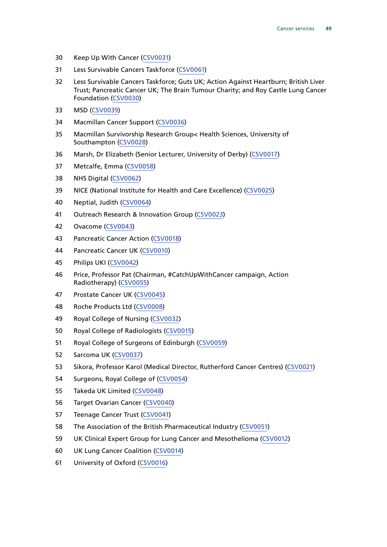- Keep Up With Cancer ([CSV0031\)](https://committees.parliament.uk/writtenevidence/38585/html/)
- Less Survivable Cancers Taskforce ([CSV0061\)](https://committees.parliament.uk/writtenevidence/41124/html/)
- Less Survivable Cancers Taskforce; Guts UK; Action Against Heartburn; British Liver Trust; Pancreatic Cancer UK; The Brain Tumour Charity; and Roy Castle Lung Cancer Foundation [\(CSV0030](https://committees.parliament.uk/writtenevidence/38584/html/))
- MSD [\(CSV0039\)](https://committees.parliament.uk/writtenevidence/38654/html/)
- Macmillan Cancer Support [\(CSV0036\)](https://committees.parliament.uk/writtenevidence/38622/html/)
- Macmillan Survivorship Research Group< Health Sciences, University of Southampton ([CSV0028](https://committees.parliament.uk/writtenevidence/38574/html/))
- Marsh, Dr Elizabeth (Senior Lecturer, University of Derby) [\(CSV0017](https://committees.parliament.uk/writtenevidence/38528/html/))
- Metcalfe, Emma [\(CSV0058](https://committees.parliament.uk/writtenevidence/40667/html/))
- NHS Digital [\(CSV0062\)](https://committees.parliament.uk/writtenevidence/41125/html/)
- NICE (National Institute for Health and Care Excellence) ([CSV0025](https://committees.parliament.uk/writtenevidence/38557/html/))
- Neptial, Judith [\(CSV0064](https://committees.parliament.uk/writtenevidence/43603/html/))
- Outreach Research & Innovation Group ([CSV0023](https://committees.parliament.uk/writtenevidence/38547/html/))
- Ovacome [\(CSV0043\)](https://committees.parliament.uk/writtenevidence/38695/html/)
- Pancreatic Cancer Action [\(CSV0018\)](https://committees.parliament.uk/writtenevidence/38529/html/)
- Pancreatic Cancer UK ([CSV0010\)](https://committees.parliament.uk/writtenevidence/38481/html/)
- Philips UKI [\(CSV0042\)](https://committees.parliament.uk/writtenevidence/38673/html/)
- Price, Professor Pat (Chairman, #CatchUpWithCancer campaign, Action Radiotherapy) [\(CSV0055](https://committees.parliament.uk/writtenevidence/40664/html/))
- Prostate Cancer UK ([CSV0045](https://committees.parliament.uk/writtenevidence/38714/html/))
- Roche Products Ltd [\(CSV0008](https://committees.parliament.uk/writtenevidence/38344/html/))
- Royal College of Nursing ([CSV0032](https://committees.parliament.uk/writtenevidence/38589/html/))
- Royal College of Radiologists [\(CSV0015\)](https://committees.parliament.uk/writtenevidence/38516/html/)
- Royal College of Surgeons of Edinburgh ([CSV0059](https://committees.parliament.uk/writtenevidence/40754/html/))
- Sarcoma UK ([CSV0037](https://committees.parliament.uk/writtenevidence/38628/html/))
- Sikora, Professor Karol (Medical Director, Rutherford Cancer Centres) ([CSV0021](https://committees.parliament.uk/writtenevidence/38539/default/))
- Surgeons, Royal College of [\(CSV0054](https://committees.parliament.uk/writtenevidence/39993/html/))
- Takeda UK Limited [\(CSV0048](https://committees.parliament.uk/writtenevidence/38826/html/))
- Target Ovarian Cancer ([CSV0040\)](https://committees.parliament.uk/writtenevidence/38661/html/)
- Teenage Cancer Trust ([CSV0041\)](https://committees.parliament.uk/writtenevidence/38663/html/)
- The Association of the British Pharmaceutical Industry [\(CSV0051\)](https://committees.parliament.uk/writtenevidence/39020/html/)
- UK Clinical Expert Group for Lung Cancer and Mesothelioma [\(CSV0012](https://committees.parliament.uk/writtenevidence/38485/html/))
- UK Lung Cancer Coalition [\(CSV0014](https://committees.parliament.uk/writtenevidence/38514/html/))
- University of Oxford ([CSV0016\)](https://committees.parliament.uk/writtenevidence/38520/html/)